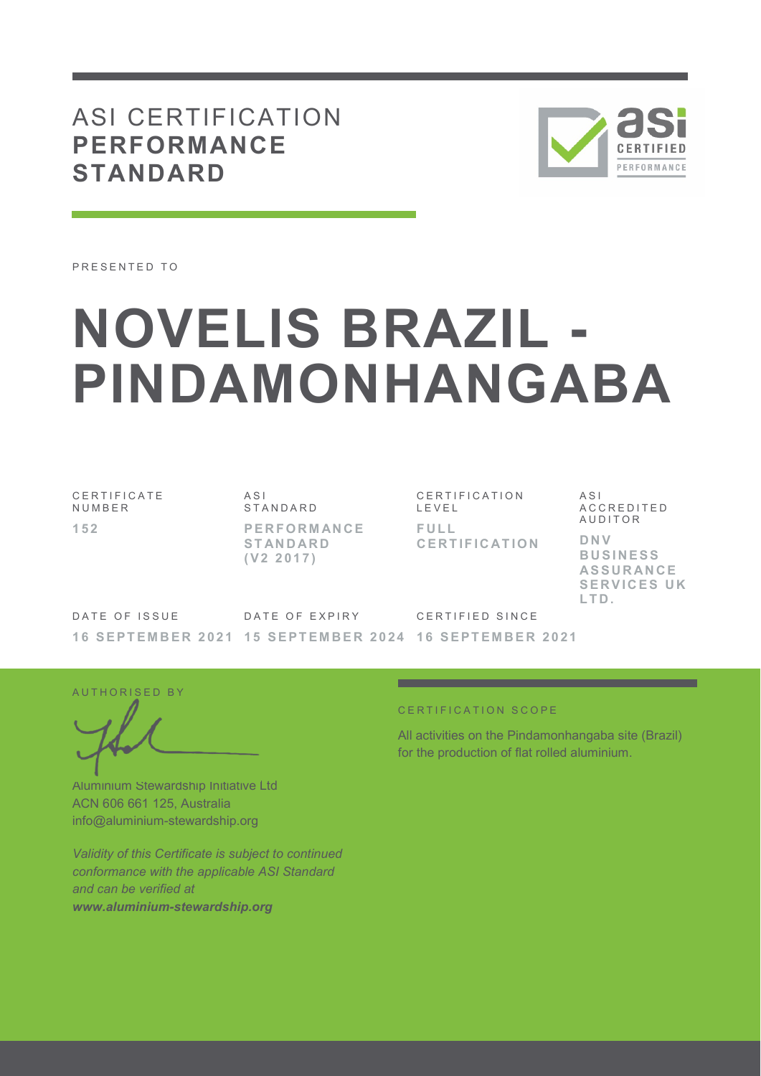## ASI CERTIFICATION **PERFORMANCE STANDARD**



PRESENTED TO

# **NOVELIS BRAZIL - PINDAMONHANGABA**

C E R T I F I C A T E **NUMBER 1 5 2** 

A S I **STANDARD P E R F O R M AN C E S T AN D AR D ( V 2 2 0 1 7 )** 

C E R T I F I C A T I O N L E V E L **F U L L C E R T I F I C AT I O N**  A S I A C C R E D I T E D **AUDITOR D N V B U S I N E S S AS S U R AN C E SERVICES UK L T D .** 

DATE OF ISSUE **1 6 S E P T E M B E R 2 0 2 1 1 5 S E P T E M B E R 2 0 2 4 1 6 S E P T E M B E R 2 0 2 1** DATE OF EXPIRY CERTIFIED SINCE

AUTHORISED BY

Aluminium Stewardship Initiative Ltd ACN 606 661 125, Australia info@aluminium-stewardship.org

*Validity of this Certificate is subject to continued conformance with the applicable ASI Standard and can be verified at www.aluminium-stewardship.org*

#### CERTIFICATION SCOPE

All activities on the Pindamonhangaba site (Brazil) for the production of flat rolled aluminium.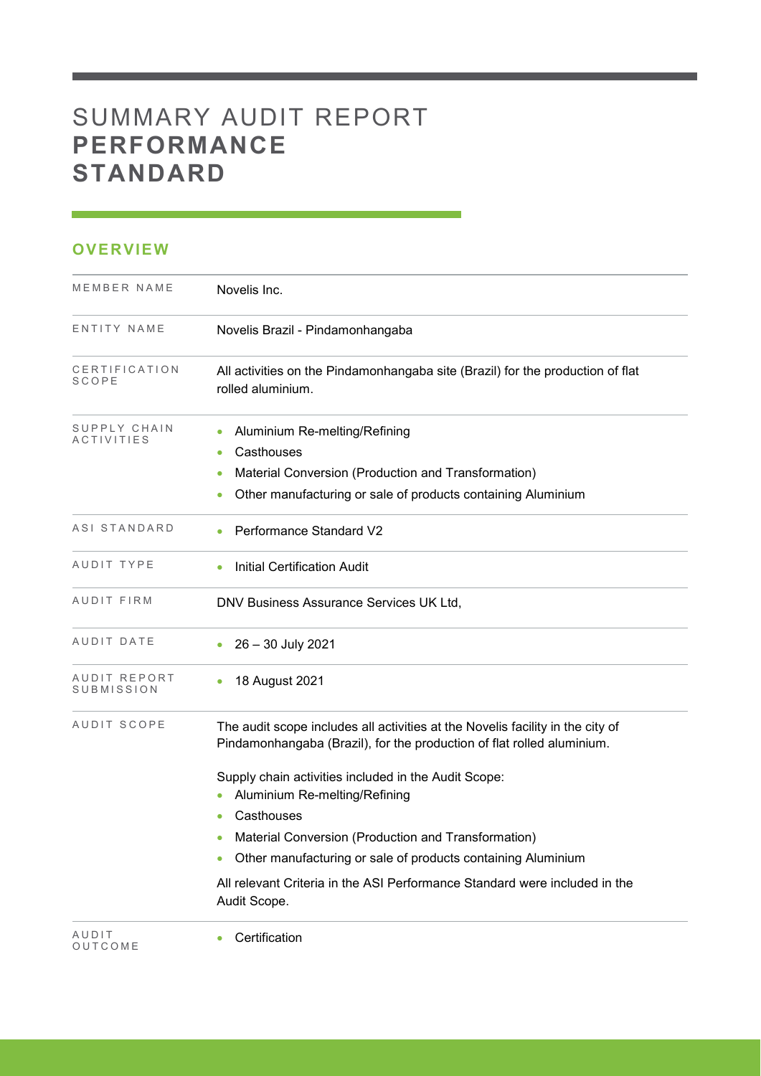# SUMMARY AUDIT REPORT **PERFORMANCE STANDARD**

### **OVERVIEW**

| MEMBER NAME                   | Novelis Inc.                                                                                                                                                                    |
|-------------------------------|---------------------------------------------------------------------------------------------------------------------------------------------------------------------------------|
| ENTITY NAME                   | Novelis Brazil - Pindamonhangaba                                                                                                                                                |
| CERTIFICATION<br><b>SCOPE</b> | All activities on the Pindamonhangaba site (Brazil) for the production of flat<br>rolled aluminium.                                                                             |
| SUPPLY CHAIN<br>ACTIVITIES    | Aluminium Re-melting/Refining<br>$\bullet$<br>Casthouses<br>Material Conversion (Production and Transformation)<br>Other manufacturing or sale of products containing Aluminium |
| ASI STANDARD                  | Performance Standard V2                                                                                                                                                         |
| AUDIT TYPE                    | <b>Initial Certification Audit</b>                                                                                                                                              |
| AUDIT FIRM                    | DNV Business Assurance Services UK Ltd,                                                                                                                                         |
| AUDIT DATE                    | 26 - 30 July 2021                                                                                                                                                               |
| AUDIT REPORT<br>SUBMISSION    | 18 August 2021                                                                                                                                                                  |
| AUDIT SCOPE                   | The audit scope includes all activities at the Novelis facility in the city of<br>Pindamonhangaba (Brazil), for the production of flat rolled aluminium.                        |
|                               | Supply chain activities included in the Audit Scope:<br>Aluminium Re-melting/Refining                                                                                           |
|                               | Casthouses                                                                                                                                                                      |
|                               | Material Conversion (Production and Transformation)<br>$\bullet$                                                                                                                |
|                               | Other manufacturing or sale of products containing Aluminium                                                                                                                    |
|                               | All relevant Criteria in the ASI Performance Standard were included in the<br>Audit Scope.                                                                                      |
| AUDIT<br>OUTCOME              | Certification                                                                                                                                                                   |

and the state of the state of the state of the state of the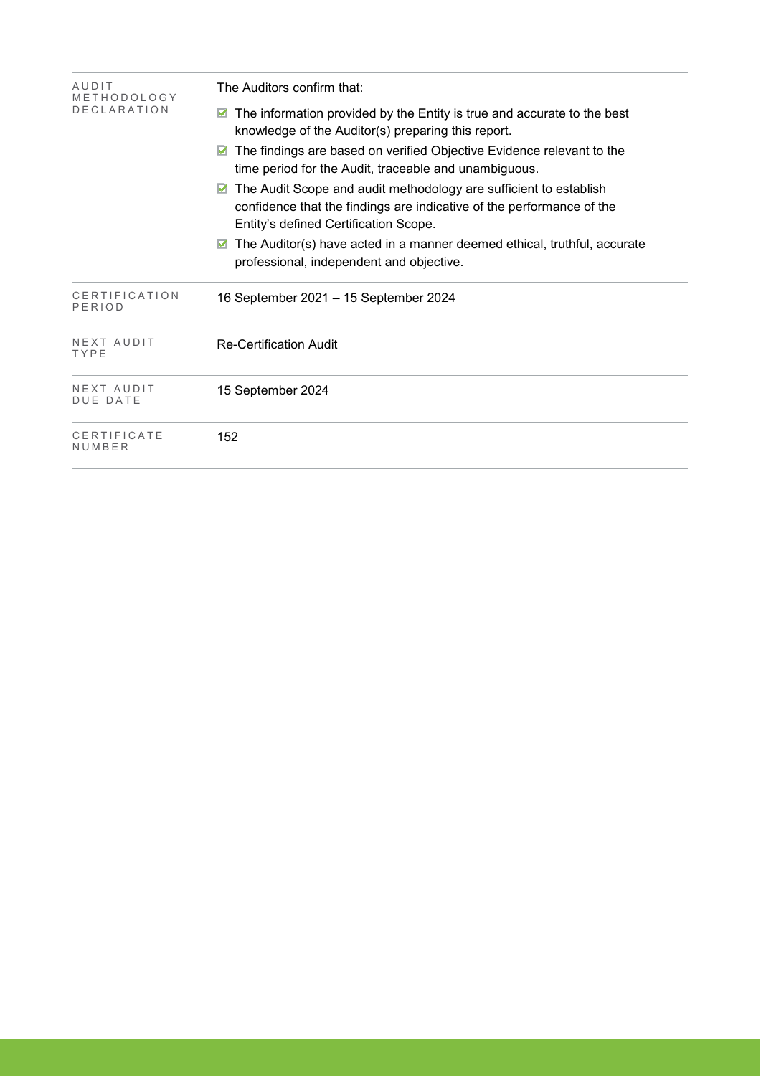| AUDIT<br>METHODOLOGY          | The Auditors confirm that:                                                                                                                                                               |  |  |  |  |
|-------------------------------|------------------------------------------------------------------------------------------------------------------------------------------------------------------------------------------|--|--|--|--|
| <b>DECLARATION</b>            | The information provided by the Entity is true and accurate to the best<br>knowledge of the Auditor(s) preparing this report.                                                            |  |  |  |  |
|                               | The findings are based on verified Objective Evidence relevant to the<br>time period for the Audit, traceable and unambiguous.                                                           |  |  |  |  |
|                               | The Audit Scope and audit methodology are sufficient to establish<br>M<br>confidence that the findings are indicative of the performance of the<br>Entity's defined Certification Scope. |  |  |  |  |
|                               | The Auditor(s) have acted in a manner deemed ethical, truthful, accurate<br>professional, independent and objective.                                                                     |  |  |  |  |
| CERTIFICATION<br>PERIOD       | 16 September 2021 - 15 September 2024                                                                                                                                                    |  |  |  |  |
| NEXT AUDIT<br>TYPE            | <b>Re-Certification Audit</b>                                                                                                                                                            |  |  |  |  |
| NEXT AUDIT<br><b>DUE DATE</b> | 15 September 2024                                                                                                                                                                        |  |  |  |  |
| CERTIFICATE<br>NUMBER         | 152                                                                                                                                                                                      |  |  |  |  |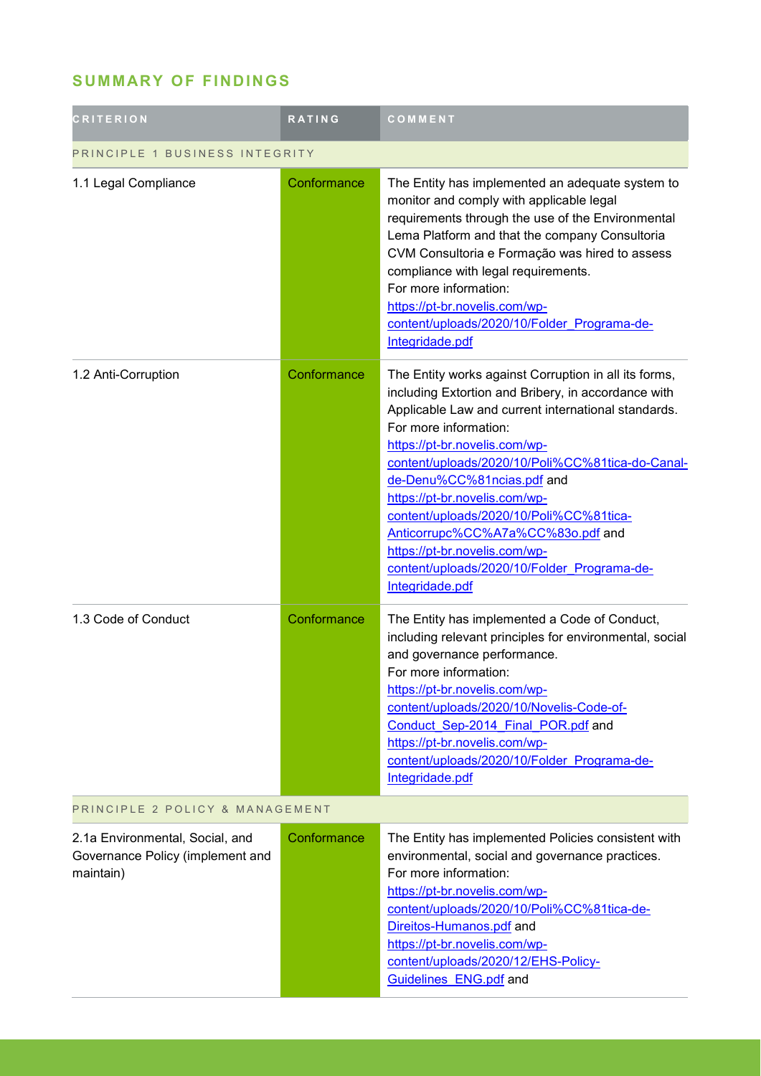## **SUMMARY OF FINDINGS**

| <b>CRITERION</b>                                                                 | RATING                          | COMMENT                                                                                                                                                                                                                                                                                                                                                                                                                                                                                                                             |  |  |
|----------------------------------------------------------------------------------|---------------------------------|-------------------------------------------------------------------------------------------------------------------------------------------------------------------------------------------------------------------------------------------------------------------------------------------------------------------------------------------------------------------------------------------------------------------------------------------------------------------------------------------------------------------------------------|--|--|
| PRINCIPLE 1 BUSINESS INTEGRITY                                                   |                                 |                                                                                                                                                                                                                                                                                                                                                                                                                                                                                                                                     |  |  |
| 1.1 Legal Compliance                                                             | Conformance                     | The Entity has implemented an adequate system to<br>monitor and comply with applicable legal<br>requirements through the use of the Environmental<br>Lema Platform and that the company Consultoria<br>CVM Consultoria e Formação was hired to assess<br>compliance with legal requirements.<br>For more information:<br>https://pt-br.novelis.com/wp-<br>content/uploads/2020/10/Folder Programa-de-<br>Integridade.pdf                                                                                                            |  |  |
| 1.2 Anti-Corruption                                                              | Conformance                     | The Entity works against Corruption in all its forms,<br>including Extortion and Bribery, in accordance with<br>Applicable Law and current international standards.<br>For more information:<br>https://pt-br.novelis.com/wp-<br>content/uploads/2020/10/Poli%CC%81tica-do-Canal-<br>de-Denu%CC%81ncias.pdf and<br>https://pt-br.novelis.com/wp-<br>content/uploads/2020/10/Poli%CC%81tica-<br>Anticorrupc%CC%A7a%CC%83o.pdf and<br>https://pt-br.novelis.com/wp-<br>content/uploads/2020/10/Folder Programa-de-<br>Integridade.pdf |  |  |
| 1.3 Code of Conduct                                                              | Conformance                     | The Entity has implemented a Code of Conduct,<br>including relevant principles for environmental, social<br>and governance performance.<br>For more information:<br>https://pt-br.novelis.com/wp-<br>content/uploads/2020/10/Novelis-Code-of-<br>Conduct Sep-2014 Final POR.pdf and<br>https://pt-br.novelis.com/wp-<br>content/uploads/2020/10/Folder Programa-de-<br>Integridade.pdf                                                                                                                                              |  |  |
|                                                                                  | PRINCIPLE 2 POLICY & MANAGEMENT |                                                                                                                                                                                                                                                                                                                                                                                                                                                                                                                                     |  |  |
| 2.1a Environmental, Social, and<br>Governance Policy (implement and<br>maintain) | Conformance                     | The Entity has implemented Policies consistent with<br>environmental, social and governance practices.<br>For more information:<br>https://pt-br.novelis.com/wp-<br>content/uploads/2020/10/Poli%CC%81tica-de-<br>Direitos-Humanos.pdf and<br>https://pt-br.novelis.com/wp-<br>content/uploads/2020/12/EHS-Policy-<br>Guidelines ENG.pdf and                                                                                                                                                                                        |  |  |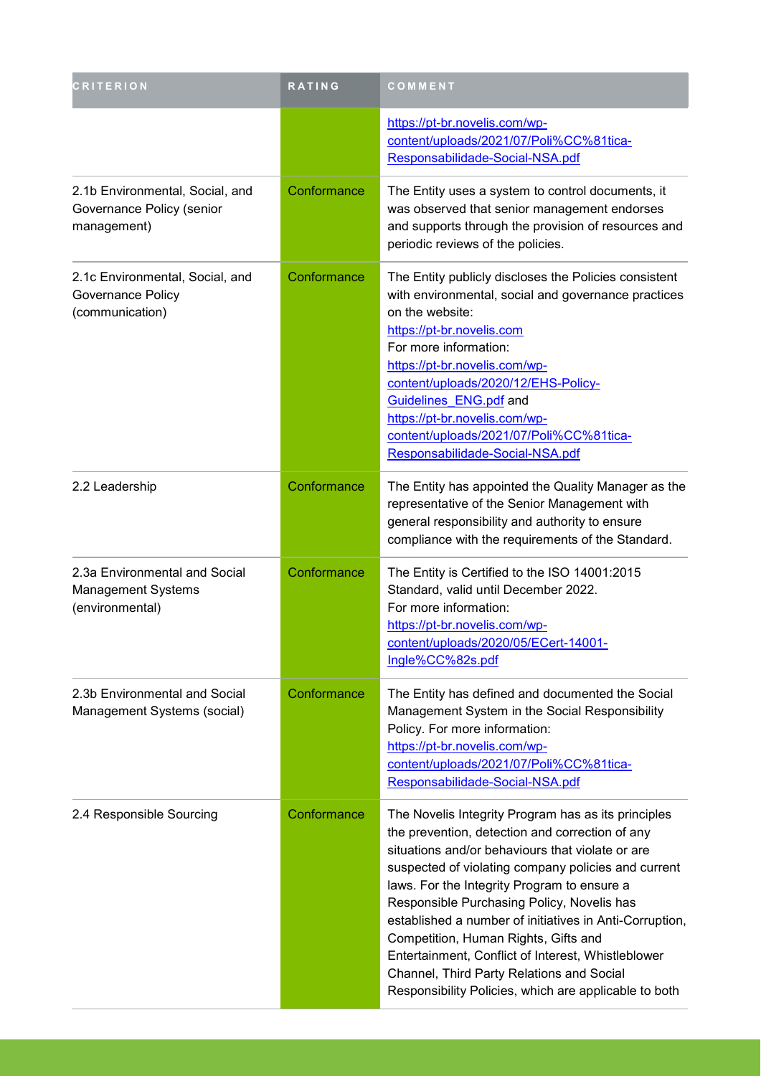| <b>CRITERION</b>                                                            | <b>RATING</b> | COMMENT                                                                                                                                                                                                                                                                                                                                                                                                                                                                                                                                                                       |
|-----------------------------------------------------------------------------|---------------|-------------------------------------------------------------------------------------------------------------------------------------------------------------------------------------------------------------------------------------------------------------------------------------------------------------------------------------------------------------------------------------------------------------------------------------------------------------------------------------------------------------------------------------------------------------------------------|
|                                                                             |               | https://pt-br.novelis.com/wp-<br>content/uploads/2021/07/Poli%CC%81tica-<br>Responsabilidade-Social-NSA.pdf                                                                                                                                                                                                                                                                                                                                                                                                                                                                   |
| 2.1b Environmental, Social, and<br>Governance Policy (senior<br>management) | Conformance   | The Entity uses a system to control documents, it<br>was observed that senior management endorses<br>and supports through the provision of resources and<br>periodic reviews of the policies.                                                                                                                                                                                                                                                                                                                                                                                 |
| 2.1c Environmental, Social, and<br>Governance Policy<br>(communication)     | Conformance   | The Entity publicly discloses the Policies consistent<br>with environmental, social and governance practices<br>on the website:<br>https://pt-br.novelis.com<br>For more information:<br>https://pt-br.novelis.com/wp-<br>content/uploads/2020/12/EHS-Policy-<br>Guidelines ENG.pdf and<br>https://pt-br.novelis.com/wp-<br>content/uploads/2021/07/Poli%CC%81tica-<br>Responsabilidade-Social-NSA.pdf                                                                                                                                                                        |
| 2.2 Leadership                                                              | Conformance   | The Entity has appointed the Quality Manager as the<br>representative of the Senior Management with<br>general responsibility and authority to ensure<br>compliance with the requirements of the Standard.                                                                                                                                                                                                                                                                                                                                                                    |
| 2.3a Environmental and Social<br>Management Systems<br>(environmental)      | Conformance   | The Entity is Certified to the ISO 14001:2015<br>Standard, valid until December 2022.<br>For more information:<br>https://pt-br.novelis.com/wp-<br>content/uploads/2020/05/ECert-14001-<br>Ingle%CC%82s.pdf                                                                                                                                                                                                                                                                                                                                                                   |
| 2.3b Environmental and Social<br>Management Systems (social)                | Conformance   | The Entity has defined and documented the Social<br>Management System in the Social Responsibility<br>Policy. For more information:<br>https://pt-br.novelis.com/wp-<br>content/uploads/2021/07/Poli%CC%81tica-<br>Responsabilidade-Social-NSA.pdf                                                                                                                                                                                                                                                                                                                            |
| 2.4 Responsible Sourcing                                                    | Conformance   | The Novelis Integrity Program has as its principles<br>the prevention, detection and correction of any<br>situations and/or behaviours that violate or are<br>suspected of violating company policies and current<br>laws. For the Integrity Program to ensure a<br>Responsible Purchasing Policy, Novelis has<br>established a number of initiatives in Anti-Corruption,<br>Competition, Human Rights, Gifts and<br>Entertainment, Conflict of Interest, Whistleblower<br>Channel, Third Party Relations and Social<br>Responsibility Policies, which are applicable to both |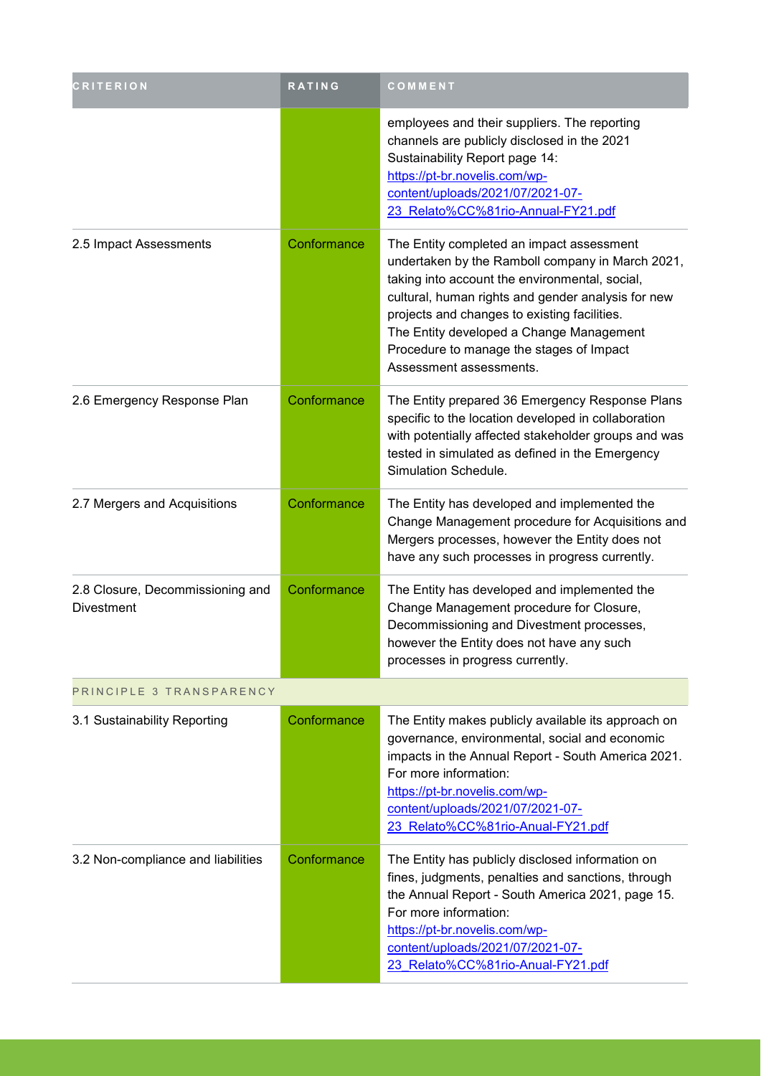| <b>CRITERION</b>                               | RATING      | COMMENT                                                                                                                                                                                                                                                                                                                                                                  |
|------------------------------------------------|-------------|--------------------------------------------------------------------------------------------------------------------------------------------------------------------------------------------------------------------------------------------------------------------------------------------------------------------------------------------------------------------------|
|                                                |             | employees and their suppliers. The reporting<br>channels are publicly disclosed in the 2021<br>Sustainability Report page 14:<br>https://pt-br.novelis.com/wp-<br>content/uploads/2021/07/2021-07-<br>23 Relato%CC%81rio-Annual-FY21.pdf                                                                                                                                 |
| 2.5 Impact Assessments                         | Conformance | The Entity completed an impact assessment<br>undertaken by the Ramboll company in March 2021,<br>taking into account the environmental, social,<br>cultural, human rights and gender analysis for new<br>projects and changes to existing facilities.<br>The Entity developed a Change Management<br>Procedure to manage the stages of Impact<br>Assessment assessments. |
| 2.6 Emergency Response Plan                    | Conformance | The Entity prepared 36 Emergency Response Plans<br>specific to the location developed in collaboration<br>with potentially affected stakeholder groups and was<br>tested in simulated as defined in the Emergency<br>Simulation Schedule.                                                                                                                                |
| 2.7 Mergers and Acquisitions                   | Conformance | The Entity has developed and implemented the<br>Change Management procedure for Acquisitions and<br>Mergers processes, however the Entity does not<br>have any such processes in progress currently.                                                                                                                                                                     |
| 2.8 Closure, Decommissioning and<br>Divestment | Conformance | The Entity has developed and implemented the<br>Change Management procedure for Closure,<br>Decommissioning and Divestment processes,<br>however the Entity does not have any such<br>processes in progress currently.                                                                                                                                                   |
| PRINCIPLE 3 TRANSPARENCY                       |             |                                                                                                                                                                                                                                                                                                                                                                          |
| 3.1 Sustainability Reporting                   | Conformance | The Entity makes publicly available its approach on<br>governance, environmental, social and economic<br>impacts in the Annual Report - South America 2021.<br>For more information:<br>https://pt-br.novelis.com/wp-<br>content/uploads/2021/07/2021-07-<br>23 Relato%CC%81rio-Anual-FY21.pdf                                                                           |
| 3.2 Non-compliance and liabilities             | Conformance | The Entity has publicly disclosed information on<br>fines, judgments, penalties and sanctions, through<br>the Annual Report - South America 2021, page 15.<br>For more information:<br>https://pt-br.novelis.com/wp-<br>content/uploads/2021/07/2021-07-<br>23 Relato%CC%81rio-Anual-FY21.pdf                                                                            |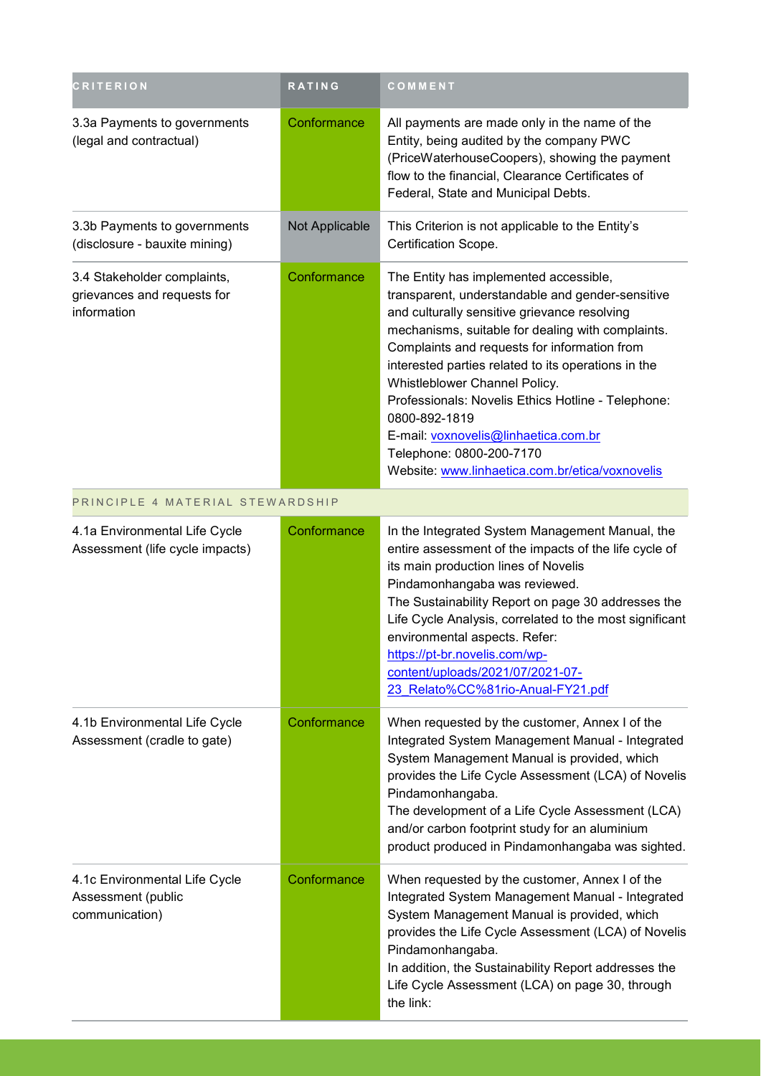| <b>CRITERION</b>                                                          | <b>RATING</b>  | COMMENT                                                                                                                                                                                                                                                                                                                                                                                                                                                                                                                               |
|---------------------------------------------------------------------------|----------------|---------------------------------------------------------------------------------------------------------------------------------------------------------------------------------------------------------------------------------------------------------------------------------------------------------------------------------------------------------------------------------------------------------------------------------------------------------------------------------------------------------------------------------------|
| 3.3a Payments to governments<br>(legal and contractual)                   | Conformance    | All payments are made only in the name of the<br>Entity, being audited by the company PWC<br>(PriceWaterhouseCoopers), showing the payment<br>flow to the financial, Clearance Certificates of<br>Federal, State and Municipal Debts.                                                                                                                                                                                                                                                                                                 |
| 3.3b Payments to governments<br>(disclosure - bauxite mining)             | Not Applicable | This Criterion is not applicable to the Entity's<br>Certification Scope.                                                                                                                                                                                                                                                                                                                                                                                                                                                              |
| 3.4 Stakeholder complaints,<br>grievances and requests for<br>information | Conformance    | The Entity has implemented accessible,<br>transparent, understandable and gender-sensitive<br>and culturally sensitive grievance resolving<br>mechanisms, suitable for dealing with complaints.<br>Complaints and requests for information from<br>interested parties related to its operations in the<br>Whistleblower Channel Policy.<br>Professionals: Novelis Ethics Hotline - Telephone:<br>0800-892-1819<br>E-mail: voxnovelis@linhaetica.com.br<br>Telephone: 0800-200-7170<br>Website: www.linhaetica.com.br/etica/voxnovelis |
| PRINCIPLE 4 MATERIAL STEWARDSHIP                                          |                |                                                                                                                                                                                                                                                                                                                                                                                                                                                                                                                                       |
| 4.1a Environmental Life Cycle<br>Assessment (life cycle impacts)          | Conformance    | In the Integrated System Management Manual, the<br>entire assessment of the impacts of the life cycle of<br>its main production lines of Novelis<br>Pindamonhangaba was reviewed.<br>The Sustainability Report on page 30 addresses the<br>Life Cycle Analysis, correlated to the most significant<br>environmental aspects. Refer:<br>https://pt-br.novelis.com/wp-<br>content/uploads/2021/07/2021-07-<br>23 Relato%CC%81rio-Anual-FY21.pdf                                                                                         |
| 4.1b Environmental Life Cycle<br>Assessment (cradle to gate)              | Conformance    | When requested by the customer, Annex I of the<br>Integrated System Management Manual - Integrated<br>System Management Manual is provided, which<br>provides the Life Cycle Assessment (LCA) of Novelis<br>Pindamonhangaba.<br>The development of a Life Cycle Assessment (LCA)<br>and/or carbon footprint study for an aluminium<br>product produced in Pindamonhangaba was sighted.                                                                                                                                                |
| 4.1c Environmental Life Cycle<br>Assessment (public<br>communication)     | Conformance    | When requested by the customer, Annex I of the<br>Integrated System Management Manual - Integrated<br>System Management Manual is provided, which<br>provides the Life Cycle Assessment (LCA) of Novelis<br>Pindamonhangaba.<br>In addition, the Sustainability Report addresses the<br>Life Cycle Assessment (LCA) on page 30, through<br>the link:                                                                                                                                                                                  |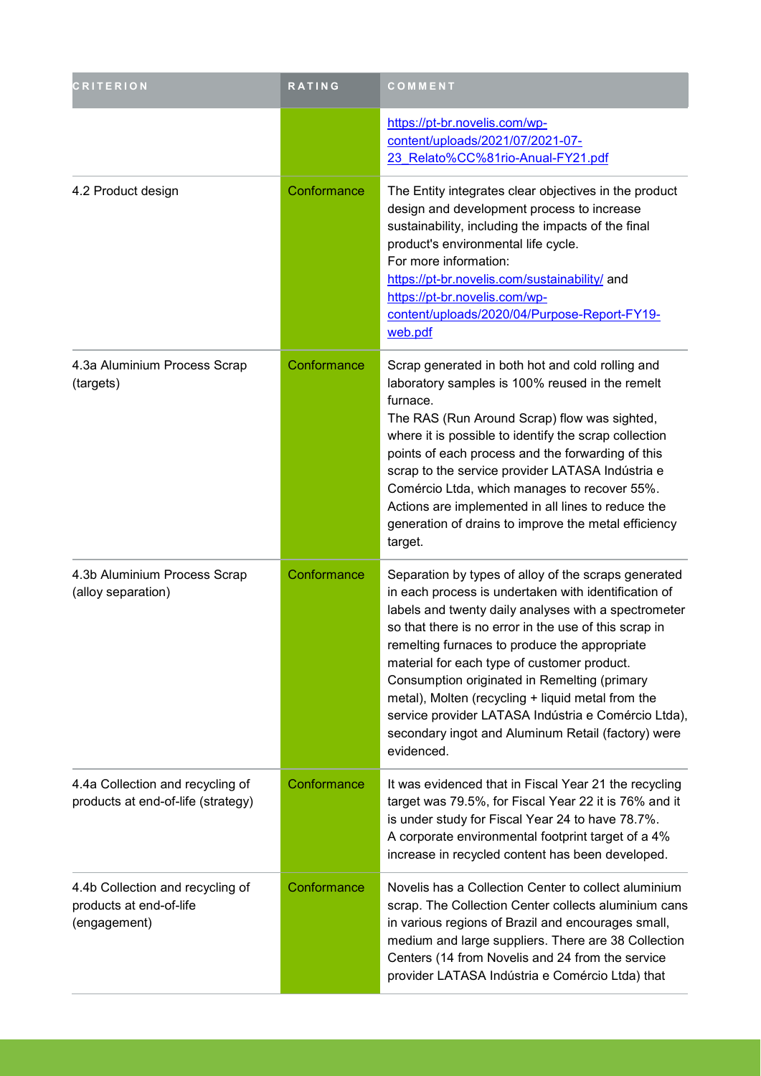| <b>CRITERION</b>                                                            | RATING      | COMMENT                                                                                                                                                                                                                                                                                                                                                                                                                                                                                                                                                       |
|-----------------------------------------------------------------------------|-------------|---------------------------------------------------------------------------------------------------------------------------------------------------------------------------------------------------------------------------------------------------------------------------------------------------------------------------------------------------------------------------------------------------------------------------------------------------------------------------------------------------------------------------------------------------------------|
|                                                                             |             | https://pt-br.novelis.com/wp-<br>content/uploads/2021/07/2021-07-<br>23 Relato%CC%81rio-Anual-FY21.pdf                                                                                                                                                                                                                                                                                                                                                                                                                                                        |
| 4.2 Product design                                                          | Conformance | The Entity integrates clear objectives in the product<br>design and development process to increase<br>sustainability, including the impacts of the final<br>product's environmental life cycle.<br>For more information:<br>https://pt-br.novelis.com/sustainability/ and<br>https://pt-br.novelis.com/wp-<br>content/uploads/2020/04/Purpose-Report-FY19-<br>web.pdf                                                                                                                                                                                        |
| 4.3a Aluminium Process Scrap<br>(targets)                                   | Conformance | Scrap generated in both hot and cold rolling and<br>laboratory samples is 100% reused in the remelt<br>furnace.<br>The RAS (Run Around Scrap) flow was sighted,<br>where it is possible to identify the scrap collection<br>points of each process and the forwarding of this<br>scrap to the service provider LATASA Indústria e<br>Comércio Ltda, which manages to recover 55%.<br>Actions are implemented in all lines to reduce the<br>generation of drains to improve the metal efficiency<br>target.                                                    |
| 4.3b Aluminium Process Scrap<br>(alloy separation)                          | Conformance | Separation by types of alloy of the scraps generated<br>in each process is undertaken with identification of<br>labels and twenty daily analyses with a spectrometer<br>so that there is no error in the use of this scrap in<br>remelting furnaces to produce the appropriate<br>material for each type of customer product.<br>Consumption originated in Remelting (primary<br>metal), Molten (recycling + liquid metal from the<br>service provider LATASA Indústria e Comércio Ltda),<br>secondary ingot and Aluminum Retail (factory) were<br>evidenced. |
| 4.4a Collection and recycling of<br>products at end-of-life (strategy)      | Conformance | It was evidenced that in Fiscal Year 21 the recycling<br>target was 79.5%, for Fiscal Year 22 it is 76% and it<br>is under study for Fiscal Year 24 to have 78.7%.<br>A corporate environmental footprint target of a 4%<br>increase in recycled content has been developed.                                                                                                                                                                                                                                                                                  |
| 4.4b Collection and recycling of<br>products at end-of-life<br>(engagement) | Conformance | Novelis has a Collection Center to collect aluminium<br>scrap. The Collection Center collects aluminium cans<br>in various regions of Brazil and encourages small,<br>medium and large suppliers. There are 38 Collection<br>Centers (14 from Novelis and 24 from the service<br>provider LATASA Indústria e Comércio Ltda) that                                                                                                                                                                                                                              |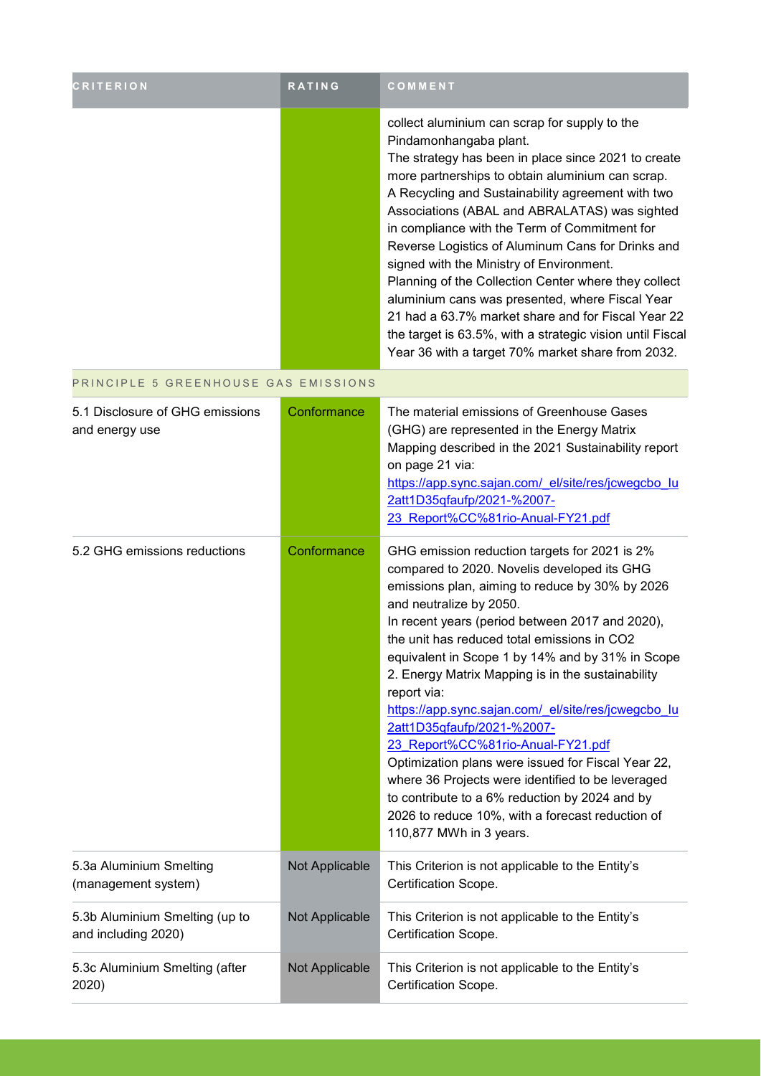| <b>CRITERION</b>                                      | RATING         | COMMENT                                                                                                                                                                                                                                                                                                                                                                                                                                                                                                                                                                                                                                                                                                                                                                    |
|-------------------------------------------------------|----------------|----------------------------------------------------------------------------------------------------------------------------------------------------------------------------------------------------------------------------------------------------------------------------------------------------------------------------------------------------------------------------------------------------------------------------------------------------------------------------------------------------------------------------------------------------------------------------------------------------------------------------------------------------------------------------------------------------------------------------------------------------------------------------|
|                                                       |                | collect aluminium can scrap for supply to the<br>Pindamonhangaba plant.<br>The strategy has been in place since 2021 to create<br>more partnerships to obtain aluminium can scrap.<br>A Recycling and Sustainability agreement with two<br>Associations (ABAL and ABRALATAS) was sighted<br>in compliance with the Term of Commitment for<br>Reverse Logistics of Aluminum Cans for Drinks and<br>signed with the Ministry of Environment.<br>Planning of the Collection Center where they collect<br>aluminium cans was presented, where Fiscal Year<br>21 had a 63.7% market share and for Fiscal Year 22<br>the target is 63.5%, with a strategic vision until Fiscal<br>Year 36 with a target 70% market share from 2032.                                              |
| PRINCIPLE 5 GREENHOUSE GAS EMISSIONS                  |                |                                                                                                                                                                                                                                                                                                                                                                                                                                                                                                                                                                                                                                                                                                                                                                            |
| 5.1 Disclosure of GHG emissions<br>and energy use     | Conformance    | The material emissions of Greenhouse Gases<br>(GHG) are represented in the Energy Matrix<br>Mapping described in the 2021 Sustainability report<br>on page 21 via:<br>https://app.sync.sajan.com/ el/site/res/jcwegcbo lu<br>2att1D35qfaufp/2021-%2007-<br>23_Report%CC%81rio-Anual-FY21.pdf                                                                                                                                                                                                                                                                                                                                                                                                                                                                               |
| 5.2 GHG emissions reductions                          | Conformance    | GHG emission reduction targets for 2021 is 2%<br>compared to 2020. Novelis developed its GHG<br>emissions plan, aiming to reduce by 30% by 2026<br>and neutralize by 2050.<br>In recent years (period between 2017 and 2020),<br>the unit has reduced total emissions in CO2<br>equivalent in Scope 1 by 14% and by 31% in Scope<br>2. Energy Matrix Mapping is in the sustainability<br>report via:<br>https://app.sync.sajan.com/ el/site/res/jcwegcbo lu<br>2att1D35qfaufp/2021-%2007-<br>23 Report%CC%81rio-Anual-FY21.pdf<br>Optimization plans were issued for Fiscal Year 22,<br>where 36 Projects were identified to be leveraged<br>to contribute to a 6% reduction by 2024 and by<br>2026 to reduce 10%, with a forecast reduction of<br>110,877 MWh in 3 years. |
| 5.3a Aluminium Smelting<br>(management system)        | Not Applicable | This Criterion is not applicable to the Entity's<br>Certification Scope.                                                                                                                                                                                                                                                                                                                                                                                                                                                                                                                                                                                                                                                                                                   |
| 5.3b Aluminium Smelting (up to<br>and including 2020) | Not Applicable | This Criterion is not applicable to the Entity's<br>Certification Scope.                                                                                                                                                                                                                                                                                                                                                                                                                                                                                                                                                                                                                                                                                                   |
| 5.3c Aluminium Smelting (after<br>2020)               | Not Applicable | This Criterion is not applicable to the Entity's<br>Certification Scope.                                                                                                                                                                                                                                                                                                                                                                                                                                                                                                                                                                                                                                                                                                   |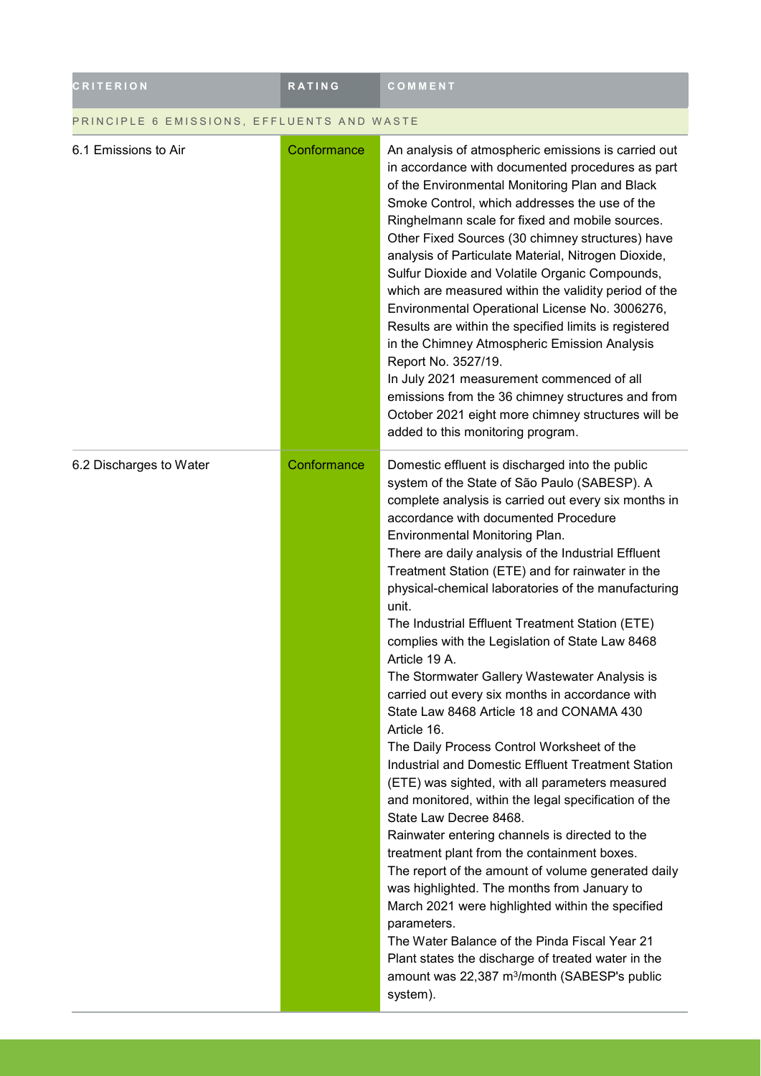| <b>CRITERION</b>                           | RATING      | COMMENT                                                                                                                                                                                                                                                                                                                                                                                                                                                                                                                                                                                                                                                                                                                                                                                                                                                                                                                                                                                                                                                                                                                                                                                                                                                                                                                                                                                             |  |
|--------------------------------------------|-------------|-----------------------------------------------------------------------------------------------------------------------------------------------------------------------------------------------------------------------------------------------------------------------------------------------------------------------------------------------------------------------------------------------------------------------------------------------------------------------------------------------------------------------------------------------------------------------------------------------------------------------------------------------------------------------------------------------------------------------------------------------------------------------------------------------------------------------------------------------------------------------------------------------------------------------------------------------------------------------------------------------------------------------------------------------------------------------------------------------------------------------------------------------------------------------------------------------------------------------------------------------------------------------------------------------------------------------------------------------------------------------------------------------------|--|
| PRINCIPLE 6 EMISSIONS, EFFLUENTS AND WASTE |             |                                                                                                                                                                                                                                                                                                                                                                                                                                                                                                                                                                                                                                                                                                                                                                                                                                                                                                                                                                                                                                                                                                                                                                                                                                                                                                                                                                                                     |  |
| 6.1 Emissions to Air                       | Conformance | An analysis of atmospheric emissions is carried out<br>in accordance with documented procedures as part<br>of the Environmental Monitoring Plan and Black<br>Smoke Control, which addresses the use of the<br>Ringhelmann scale for fixed and mobile sources.<br>Other Fixed Sources (30 chimney structures) have<br>analysis of Particulate Material, Nitrogen Dioxide,<br>Sulfur Dioxide and Volatile Organic Compounds,<br>which are measured within the validity period of the<br>Environmental Operational License No. 3006276,<br>Results are within the specified limits is registered<br>in the Chimney Atmospheric Emission Analysis<br>Report No. 3527/19.<br>In July 2021 measurement commenced of all<br>emissions from the 36 chimney structures and from<br>October 2021 eight more chimney structures will be<br>added to this monitoring program.                                                                                                                                                                                                                                                                                                                                                                                                                                                                                                                                   |  |
| 6.2 Discharges to Water                    | Conformance | Domestic effluent is discharged into the public<br>system of the State of São Paulo (SABESP). A<br>complete analysis is carried out every six months in<br>accordance with documented Procedure<br>Environmental Monitoring Plan.<br>There are daily analysis of the Industrial Effluent<br>Treatment Station (ETE) and for rainwater in the<br>physical-chemical laboratories of the manufacturing<br>unit.<br>The Industrial Effluent Treatment Station (ETE)<br>complies with the Legislation of State Law 8468<br>Article 19 A.<br>The Stormwater Gallery Wastewater Analysis is<br>carried out every six months in accordance with<br>State Law 8468 Article 18 and CONAMA 430<br>Article 16.<br>The Daily Process Control Worksheet of the<br>Industrial and Domestic Effluent Treatment Station<br>(ETE) was sighted, with all parameters measured<br>and monitored, within the legal specification of the<br>State Law Decree 8468.<br>Rainwater entering channels is directed to the<br>treatment plant from the containment boxes.<br>The report of the amount of volume generated daily<br>was highlighted. The months from January to<br>March 2021 were highlighted within the specified<br>parameters.<br>The Water Balance of the Pinda Fiscal Year 21<br>Plant states the discharge of treated water in the<br>amount was 22,387 m <sup>3</sup> /month (SABESP's public<br>system). |  |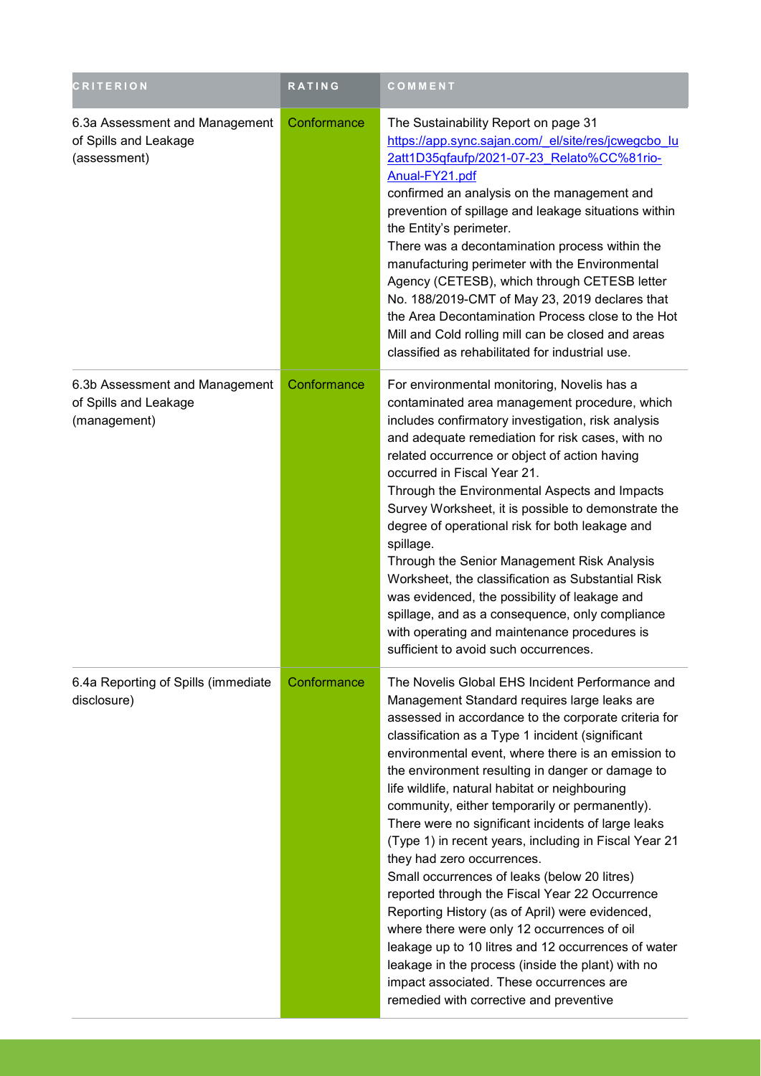| <b>CRITERION</b>                                                        | <b>RATING</b> | COMMENT                                                                                                                                                                                                                                                                                                                                                                                                                                                                                                                                                                                                                                                                                                                                                                                                                                                                                                                                                                       |
|-------------------------------------------------------------------------|---------------|-------------------------------------------------------------------------------------------------------------------------------------------------------------------------------------------------------------------------------------------------------------------------------------------------------------------------------------------------------------------------------------------------------------------------------------------------------------------------------------------------------------------------------------------------------------------------------------------------------------------------------------------------------------------------------------------------------------------------------------------------------------------------------------------------------------------------------------------------------------------------------------------------------------------------------------------------------------------------------|
| 6.3a Assessment and Management<br>of Spills and Leakage<br>(assessment) | Conformance   | The Sustainability Report on page 31<br>https://app.sync.sajan.com/ el/site/res/jcwegcbo lu<br>2att1D35qfaufp/2021-07-23 Relato%CC%81rio-<br>Anual-FY21.pdf<br>confirmed an analysis on the management and<br>prevention of spillage and leakage situations within<br>the Entity's perimeter.<br>There was a decontamination process within the<br>manufacturing perimeter with the Environmental<br>Agency (CETESB), which through CETESB letter<br>No. 188/2019-CMT of May 23, 2019 declares that<br>the Area Decontamination Process close to the Hot<br>Mill and Cold rolling mill can be closed and areas<br>classified as rehabilitated for industrial use.                                                                                                                                                                                                                                                                                                             |
| 6.3b Assessment and Management<br>of Spills and Leakage<br>(management) | Conformance   | For environmental monitoring, Novelis has a<br>contaminated area management procedure, which<br>includes confirmatory investigation, risk analysis<br>and adequate remediation for risk cases, with no<br>related occurrence or object of action having<br>occurred in Fiscal Year 21.<br>Through the Environmental Aspects and Impacts<br>Survey Worksheet, it is possible to demonstrate the<br>degree of operational risk for both leakage and<br>spillage.<br>Through the Senior Management Risk Analysis<br>Worksheet, the classification as Substantial Risk<br>was evidenced, the possibility of leakage and<br>spillage, and as a consequence, only compliance<br>with operating and maintenance procedures is<br>sufficient to avoid such occurrences.                                                                                                                                                                                                               |
| 6.4a Reporting of Spills (immediate<br>disclosure)                      | Conformance   | The Novelis Global EHS Incident Performance and<br>Management Standard requires large leaks are<br>assessed in accordance to the corporate criteria for<br>classification as a Type 1 incident (significant<br>environmental event, where there is an emission to<br>the environment resulting in danger or damage to<br>life wildlife, natural habitat or neighbouring<br>community, either temporarily or permanently).<br>There were no significant incidents of large leaks<br>(Type 1) in recent years, including in Fiscal Year 21<br>they had zero occurrences.<br>Small occurrences of leaks (below 20 litres)<br>reported through the Fiscal Year 22 Occurrence<br>Reporting History (as of April) were evidenced,<br>where there were only 12 occurrences of oil<br>leakage up to 10 litres and 12 occurrences of water<br>leakage in the process (inside the plant) with no<br>impact associated. These occurrences are<br>remedied with corrective and preventive |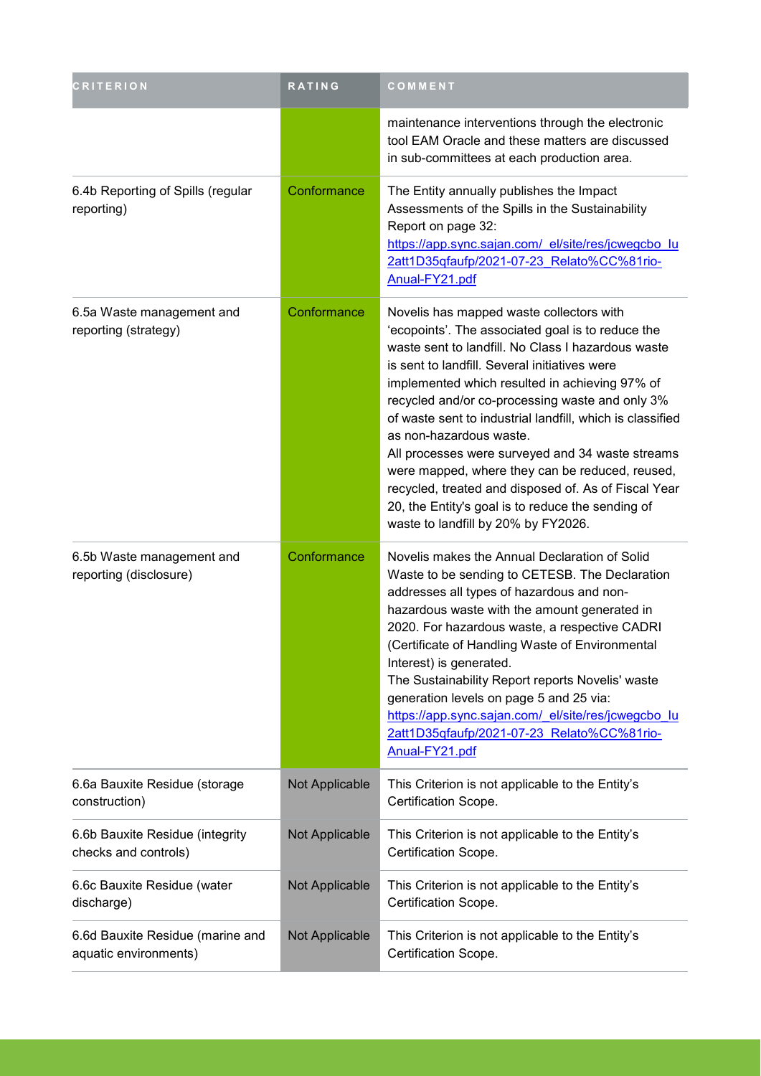| <b>CRITERION</b>                                          | RATING         | COMMENT                                                                                                                                                                                                                                                                                                                                                                                                                                                                                                                                                                                                                                                      |  |
|-----------------------------------------------------------|----------------|--------------------------------------------------------------------------------------------------------------------------------------------------------------------------------------------------------------------------------------------------------------------------------------------------------------------------------------------------------------------------------------------------------------------------------------------------------------------------------------------------------------------------------------------------------------------------------------------------------------------------------------------------------------|--|
|                                                           |                | maintenance interventions through the electronic<br>tool EAM Oracle and these matters are discussed<br>in sub-committees at each production area.                                                                                                                                                                                                                                                                                                                                                                                                                                                                                                            |  |
| 6.4b Reporting of Spills (regular<br>reporting)           | Conformance    | The Entity annually publishes the Impact<br>Assessments of the Spills in the Sustainability<br>Report on page 32:<br>https://app.sync.sajan.com/_el/site/res/jcwegcbo_lu<br>2att1D35qfaufp/2021-07-23 Relato%CC%81rio-<br>Anual-FY21.pdf                                                                                                                                                                                                                                                                                                                                                                                                                     |  |
| 6.5a Waste management and<br>reporting (strategy)         | Conformance    | Novelis has mapped waste collectors with<br>'ecopoints'. The associated goal is to reduce the<br>waste sent to landfill. No Class I hazardous waste<br>is sent to landfill. Several initiatives were<br>implemented which resulted in achieving 97% of<br>recycled and/or co-processing waste and only 3%<br>of waste sent to industrial landfill, which is classified<br>as non-hazardous waste.<br>All processes were surveyed and 34 waste streams<br>were mapped, where they can be reduced, reused,<br>recycled, treated and disposed of. As of Fiscal Year<br>20, the Entity's goal is to reduce the sending of<br>waste to landfill by 20% by FY2026. |  |
| 6.5b Waste management and<br>reporting (disclosure)       | Conformance    | Novelis makes the Annual Declaration of Solid<br>Waste to be sending to CETESB. The Declaration<br>addresses all types of hazardous and non-<br>hazardous waste with the amount generated in<br>2020. For hazardous waste, a respective CADRI<br>(Certificate of Handling Waste of Environmental<br>Interest) is generated.<br>The Sustainability Report reports Novelis' waste<br>generation levels on page 5 and 25 via:<br>https://app.sync.sajan.com/ el/site/res/jcwegcbo lu<br>2att1D35qfaufp/2021-07-23 Relato%CC%81rio-<br>Anual-FY21.pdf                                                                                                            |  |
| 6.6a Bauxite Residue (storage<br>construction)            | Not Applicable | This Criterion is not applicable to the Entity's<br>Certification Scope.                                                                                                                                                                                                                                                                                                                                                                                                                                                                                                                                                                                     |  |
| 6.6b Bauxite Residue (integrity<br>checks and controls)   | Not Applicable | This Criterion is not applicable to the Entity's<br>Certification Scope.                                                                                                                                                                                                                                                                                                                                                                                                                                                                                                                                                                                     |  |
| 6.6c Bauxite Residue (water<br>discharge)                 | Not Applicable | This Criterion is not applicable to the Entity's<br>Certification Scope.                                                                                                                                                                                                                                                                                                                                                                                                                                                                                                                                                                                     |  |
| 6.6d Bauxite Residue (marine and<br>aquatic environments) | Not Applicable | This Criterion is not applicable to the Entity's<br>Certification Scope.                                                                                                                                                                                                                                                                                                                                                                                                                                                                                                                                                                                     |  |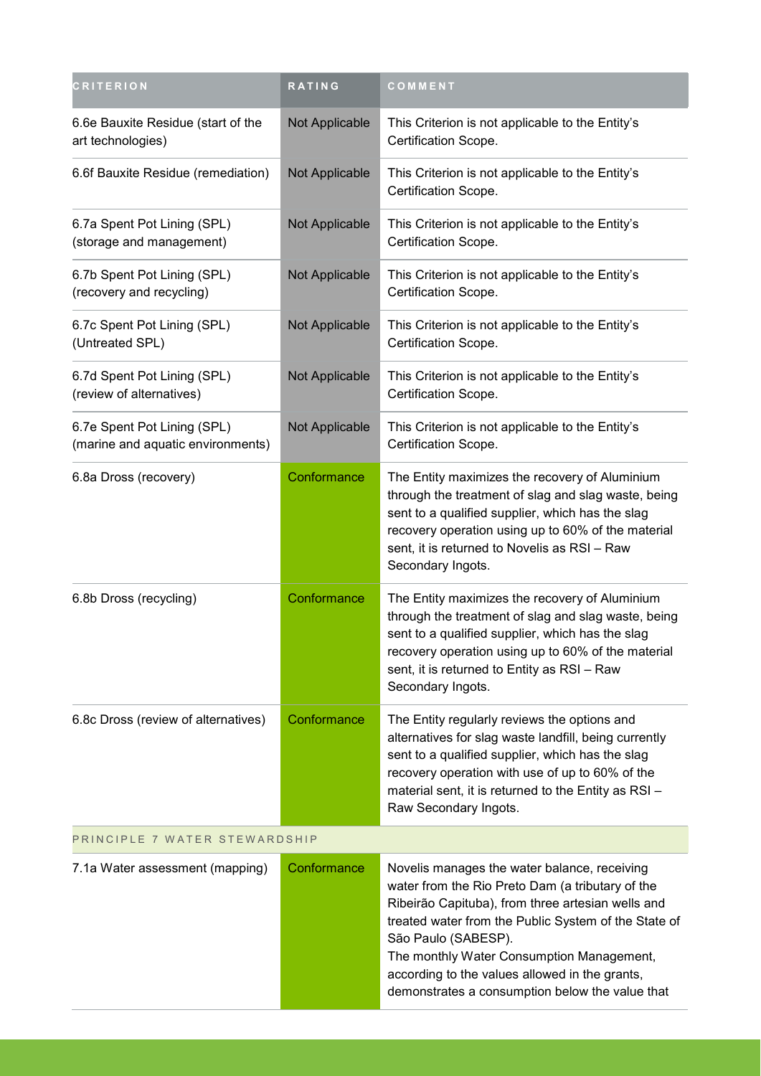| <b>CRITERION</b>                                                 | RATING         | COMMENT                                                                                                                                                                                                                                                                                                                                                                                |  |
|------------------------------------------------------------------|----------------|----------------------------------------------------------------------------------------------------------------------------------------------------------------------------------------------------------------------------------------------------------------------------------------------------------------------------------------------------------------------------------------|--|
| 6.6e Bauxite Residue (start of the<br>art technologies)          | Not Applicable | This Criterion is not applicable to the Entity's<br>Certification Scope.                                                                                                                                                                                                                                                                                                               |  |
| 6.6f Bauxite Residue (remediation)                               | Not Applicable | This Criterion is not applicable to the Entity's<br>Certification Scope.                                                                                                                                                                                                                                                                                                               |  |
| 6.7a Spent Pot Lining (SPL)<br>(storage and management)          | Not Applicable | This Criterion is not applicable to the Entity's<br>Certification Scope.                                                                                                                                                                                                                                                                                                               |  |
| 6.7b Spent Pot Lining (SPL)<br>(recovery and recycling)          | Not Applicable | This Criterion is not applicable to the Entity's<br>Certification Scope.                                                                                                                                                                                                                                                                                                               |  |
| 6.7c Spent Pot Lining (SPL)<br>(Untreated SPL)                   | Not Applicable | This Criterion is not applicable to the Entity's<br>Certification Scope.                                                                                                                                                                                                                                                                                                               |  |
| 6.7d Spent Pot Lining (SPL)<br>(review of alternatives)          | Not Applicable | This Criterion is not applicable to the Entity's<br>Certification Scope.                                                                                                                                                                                                                                                                                                               |  |
| 6.7e Spent Pot Lining (SPL)<br>(marine and aquatic environments) | Not Applicable | This Criterion is not applicable to the Entity's<br>Certification Scope.                                                                                                                                                                                                                                                                                                               |  |
| 6.8a Dross (recovery)                                            | Conformance    | The Entity maximizes the recovery of Aluminium<br>through the treatment of slag and slag waste, being<br>sent to a qualified supplier, which has the slag<br>recovery operation using up to 60% of the material<br>sent, it is returned to Novelis as RSI - Raw<br>Secondary Ingots.                                                                                                   |  |
| 6.8b Dross (recycling)                                           | Conformance    | The Entity maximizes the recovery of Aluminium<br>through the treatment of slag and slag waste, being<br>sent to a qualified supplier, which has the slag<br>recovery operation using up to 60% of the material<br>sent, it is returned to Entity as RSI - Raw<br>Secondary Ingots.                                                                                                    |  |
| 6.8c Dross (review of alternatives)                              | Conformance    | The Entity regularly reviews the options and<br>alternatives for slag waste landfill, being currently<br>sent to a qualified supplier, which has the slag<br>recovery operation with use of up to 60% of the<br>material sent, it is returned to the Entity as RSI -<br>Raw Secondary Ingots.                                                                                          |  |
| PRINCIPLE 7 WATER STEWARDSHIP                                    |                |                                                                                                                                                                                                                                                                                                                                                                                        |  |
| 7.1a Water assessment (mapping)                                  | Conformance    | Novelis manages the water balance, receiving<br>water from the Rio Preto Dam (a tributary of the<br>Ribeirão Capituba), from three artesian wells and<br>treated water from the Public System of the State of<br>São Paulo (SABESP).<br>The monthly Water Consumption Management,<br>according to the values allowed in the grants,<br>demonstrates a consumption below the value that |  |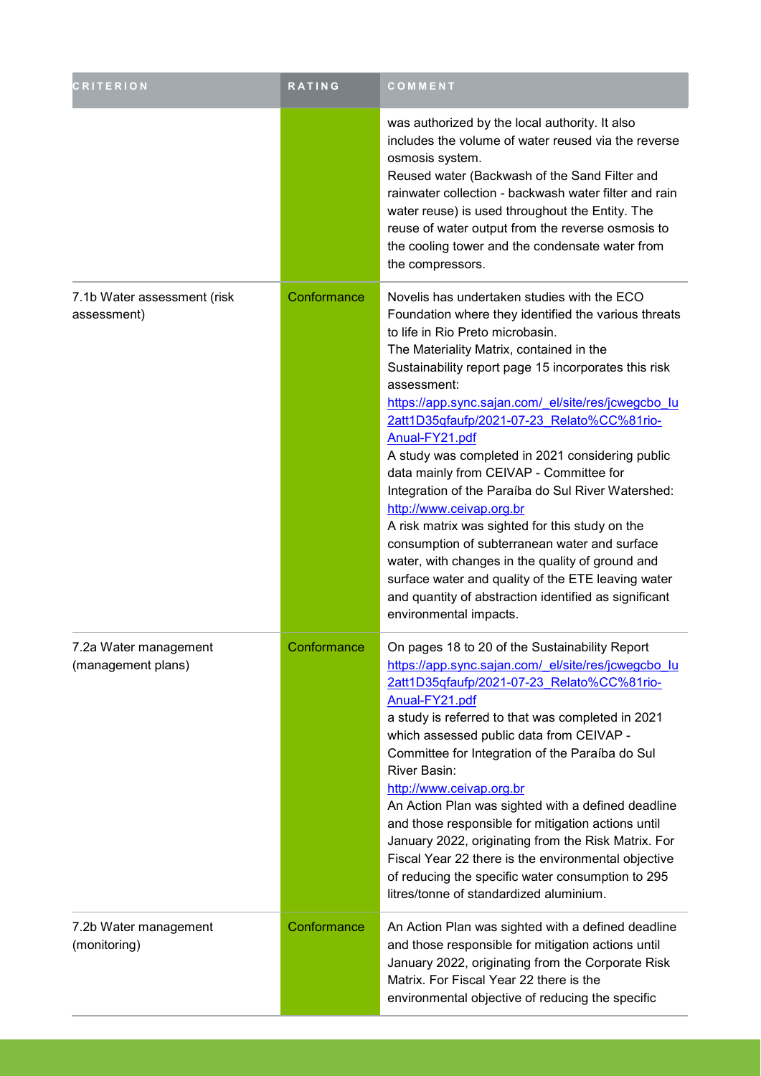| <b>CRITERION</b>                            | RATING      | <b>COMMENT</b>                                                                                                                                                                                                                                                                                                                                                                                                                                                                                                                                                                                                                                                                                                                                                                                                                                                      |
|---------------------------------------------|-------------|---------------------------------------------------------------------------------------------------------------------------------------------------------------------------------------------------------------------------------------------------------------------------------------------------------------------------------------------------------------------------------------------------------------------------------------------------------------------------------------------------------------------------------------------------------------------------------------------------------------------------------------------------------------------------------------------------------------------------------------------------------------------------------------------------------------------------------------------------------------------|
|                                             |             | was authorized by the local authority. It also<br>includes the volume of water reused via the reverse<br>osmosis system.<br>Reused water (Backwash of the Sand Filter and<br>rainwater collection - backwash water filter and rain<br>water reuse) is used throughout the Entity. The<br>reuse of water output from the reverse osmosis to<br>the cooling tower and the condensate water from<br>the compressors.                                                                                                                                                                                                                                                                                                                                                                                                                                                   |
| 7.1b Water assessment (risk<br>assessment)  | Conformance | Novelis has undertaken studies with the ECO<br>Foundation where they identified the various threats<br>to life in Rio Preto microbasin.<br>The Materiality Matrix, contained in the<br>Sustainability report page 15 incorporates this risk<br>assessment:<br>https://app.sync.sajan.com/ el/site/res/jcwegcbo lu<br>2att1D35qfaufp/2021-07-23 Relato%CC%81rio-<br>Anual-FY21.pdf<br>A study was completed in 2021 considering public<br>data mainly from CEIVAP - Committee for<br>Integration of the Paraíba do Sul River Watershed:<br>http://www.ceivap.org.br<br>A risk matrix was sighted for this study on the<br>consumption of subterranean water and surface<br>water, with changes in the quality of ground and<br>surface water and quality of the ETE leaving water<br>and quantity of abstraction identified as significant<br>environmental impacts. |
| 7.2a Water management<br>(management plans) | Conformance | On pages 18 to 20 of the Sustainability Report<br>https://app.sync.sajan.com/ el/site/res/jcwegcbo lu<br>2att1D35qfaufp/2021-07-23 Relato%CC%81rio-<br>Anual-FY21.pdf<br>a study is referred to that was completed in 2021<br>which assessed public data from CEIVAP -<br>Committee for Integration of the Paraíba do Sul<br>River Basin:<br>http://www.ceivap.org.br<br>An Action Plan was sighted with a defined deadline<br>and those responsible for mitigation actions until<br>January 2022, originating from the Risk Matrix. For<br>Fiscal Year 22 there is the environmental objective<br>of reducing the specific water consumption to 295<br>litres/tonne of standardized aluminium.                                                                                                                                                                     |
| 7.2b Water management<br>(monitoring)       | Conformance | An Action Plan was sighted with a defined deadline<br>and those responsible for mitigation actions until<br>January 2022, originating from the Corporate Risk<br>Matrix. For Fiscal Year 22 there is the<br>environmental objective of reducing the specific                                                                                                                                                                                                                                                                                                                                                                                                                                                                                                                                                                                                        |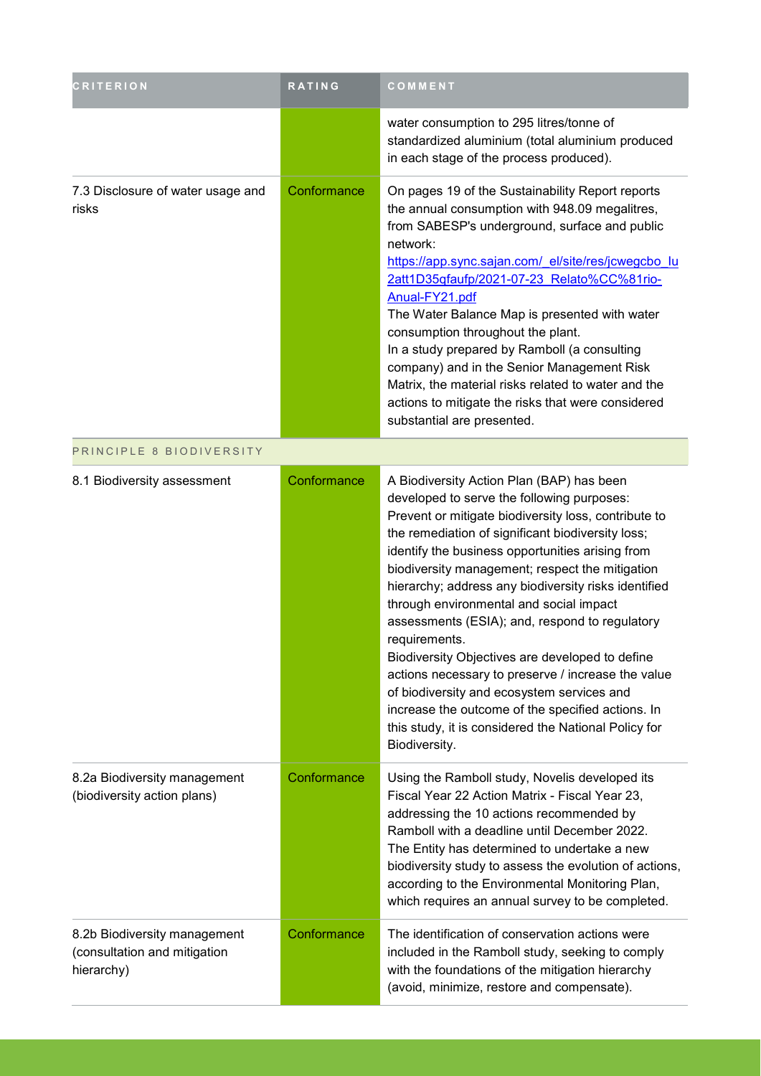| <b>CRITERION</b>                                                           | RATING      | COMMENT                                                                                                                                                                                                                                                                                                                                                                                                                                                                                                                                                                                                                                                                                                                                                                |
|----------------------------------------------------------------------------|-------------|------------------------------------------------------------------------------------------------------------------------------------------------------------------------------------------------------------------------------------------------------------------------------------------------------------------------------------------------------------------------------------------------------------------------------------------------------------------------------------------------------------------------------------------------------------------------------------------------------------------------------------------------------------------------------------------------------------------------------------------------------------------------|
|                                                                            |             | water consumption to 295 litres/tonne of<br>standardized aluminium (total aluminium produced<br>in each stage of the process produced).                                                                                                                                                                                                                                                                                                                                                                                                                                                                                                                                                                                                                                |
| 7.3 Disclosure of water usage and<br>risks                                 | Conformance | On pages 19 of the Sustainability Report reports<br>the annual consumption with 948.09 megalitres,<br>from SABESP's underground, surface and public<br>network:<br>https://app.sync.sajan.com/ el/site/res/jcwegcbo lu<br>2att1D35qfaufp/2021-07-23 Relato%CC%81rio-<br>Anual-FY21.pdf<br>The Water Balance Map is presented with water<br>consumption throughout the plant.<br>In a study prepared by Ramboll (a consulting<br>company) and in the Senior Management Risk<br>Matrix, the material risks related to water and the<br>actions to mitigate the risks that were considered<br>substantial are presented.                                                                                                                                                  |
| PRINCIPLE 8 BIODIVERSITY                                                   |             |                                                                                                                                                                                                                                                                                                                                                                                                                                                                                                                                                                                                                                                                                                                                                                        |
| 8.1 Biodiversity assessment                                                | Conformance | A Biodiversity Action Plan (BAP) has been<br>developed to serve the following purposes:<br>Prevent or mitigate biodiversity loss, contribute to<br>the remediation of significant biodiversity loss;<br>identify the business opportunities arising from<br>biodiversity management; respect the mitigation<br>hierarchy; address any biodiversity risks identified<br>through environmental and social impact<br>assessments (ESIA); and, respond to regulatory<br>requirements.<br>Biodiversity Objectives are developed to define<br>actions necessary to preserve / increase the value<br>of biodiversity and ecosystem services and<br>increase the outcome of the specified actions. In<br>this study, it is considered the National Policy for<br>Biodiversity. |
| 8.2a Biodiversity management<br>(biodiversity action plans)                | Conformance | Using the Ramboll study, Novelis developed its<br>Fiscal Year 22 Action Matrix - Fiscal Year 23,<br>addressing the 10 actions recommended by<br>Ramboll with a deadline until December 2022.<br>The Entity has determined to undertake a new<br>biodiversity study to assess the evolution of actions,<br>according to the Environmental Monitoring Plan,<br>which requires an annual survey to be completed.                                                                                                                                                                                                                                                                                                                                                          |
| 8.2b Biodiversity management<br>(consultation and mitigation<br>hierarchy) | Conformance | The identification of conservation actions were<br>included in the Ramboll study, seeking to comply<br>with the foundations of the mitigation hierarchy<br>(avoid, minimize, restore and compensate).                                                                                                                                                                                                                                                                                                                                                                                                                                                                                                                                                                  |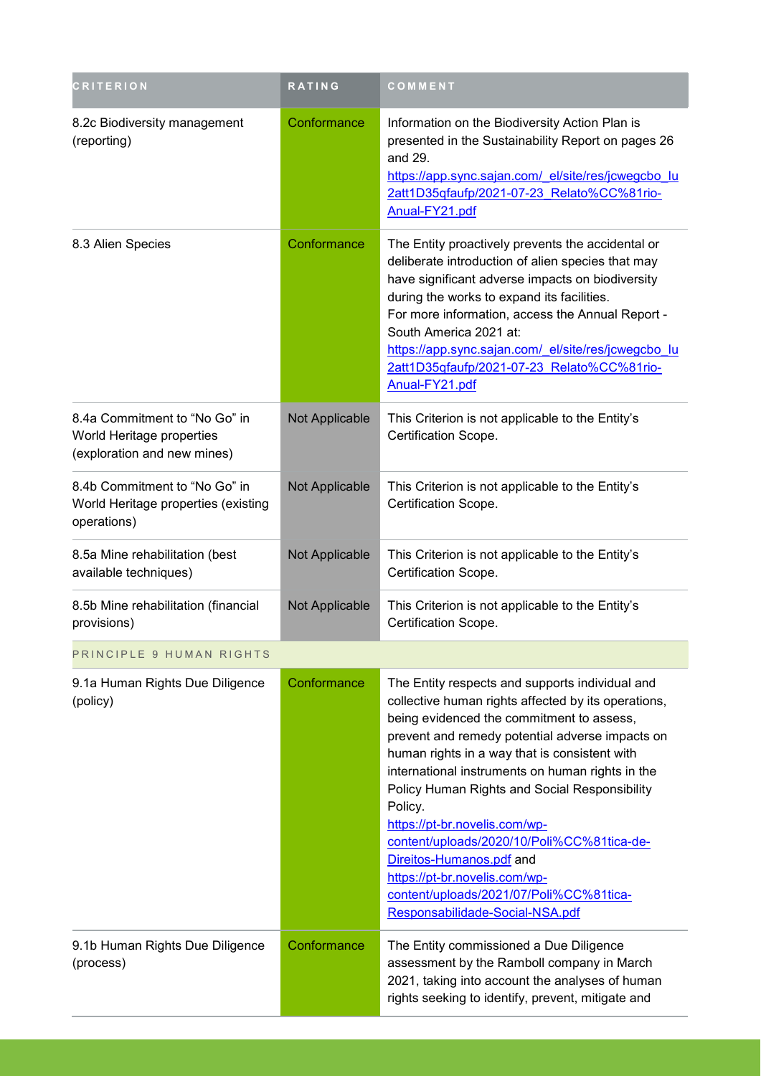| <b>CRITERION</b>                                                                          | <b>RATING</b>  | COMMENT                                                                                                                                                                                                                                                                                                                                                                                                                                                                                                                                                                                           |
|-------------------------------------------------------------------------------------------|----------------|---------------------------------------------------------------------------------------------------------------------------------------------------------------------------------------------------------------------------------------------------------------------------------------------------------------------------------------------------------------------------------------------------------------------------------------------------------------------------------------------------------------------------------------------------------------------------------------------------|
| 8.2c Biodiversity management<br>(reporting)                                               | Conformance    | Information on the Biodiversity Action Plan is<br>presented in the Sustainability Report on pages 26<br>and 29.<br>https://app.sync.sajan.com/ el/site/res/jcwegcbo lu<br>2att1D35qfaufp/2021-07-23 Relato%CC%81rio-<br>Anual-FY21.pdf                                                                                                                                                                                                                                                                                                                                                            |
| 8.3 Alien Species                                                                         | Conformance    | The Entity proactively prevents the accidental or<br>deliberate introduction of alien species that may<br>have significant adverse impacts on biodiversity<br>during the works to expand its facilities.<br>For more information, access the Annual Report -<br>South America 2021 at:<br>https://app.sync.sajan.com/ el/site/res/jcwegcbo lu<br>2att1D35qfaufp/2021-07-23 Relato%CC%81rio-<br>Anual-FY21.pdf                                                                                                                                                                                     |
| 8.4a Commitment to "No Go" in<br>World Heritage properties<br>(exploration and new mines) | Not Applicable | This Criterion is not applicable to the Entity's<br>Certification Scope.                                                                                                                                                                                                                                                                                                                                                                                                                                                                                                                          |
| 8.4b Commitment to "No Go" in<br>World Heritage properties (existing<br>operations)       | Not Applicable | This Criterion is not applicable to the Entity's<br>Certification Scope.                                                                                                                                                                                                                                                                                                                                                                                                                                                                                                                          |
| 8.5a Mine rehabilitation (best<br>available techniques)                                   | Not Applicable | This Criterion is not applicable to the Entity's<br>Certification Scope.                                                                                                                                                                                                                                                                                                                                                                                                                                                                                                                          |
| 8.5b Mine rehabilitation (financial<br>provisions)                                        | Not Applicable | This Criterion is not applicable to the Entity's<br>Certification Scope.                                                                                                                                                                                                                                                                                                                                                                                                                                                                                                                          |
| PRINCIPLE 9 HUMAN RIGHTS                                                                  |                |                                                                                                                                                                                                                                                                                                                                                                                                                                                                                                                                                                                                   |
| 9.1a Human Rights Due Diligence<br>(policy)                                               | Conformance    | The Entity respects and supports individual and<br>collective human rights affected by its operations,<br>being evidenced the commitment to assess,<br>prevent and remedy potential adverse impacts on<br>human rights in a way that is consistent with<br>international instruments on human rights in the<br>Policy Human Rights and Social Responsibility<br>Policy.<br>https://pt-br.novelis.com/wp-<br>content/uploads/2020/10/Poli%CC%81tica-de-<br>Direitos-Humanos.pdf and<br>https://pt-br.novelis.com/wp-<br>content/uploads/2021/07/Poli%CC%81tica-<br>Responsabilidade-Social-NSA.pdf |
| 9.1b Human Rights Due Diligence<br>(process)                                              | Conformance    | The Entity commissioned a Due Diligence<br>assessment by the Ramboll company in March<br>2021, taking into account the analyses of human<br>rights seeking to identify, prevent, mitigate and                                                                                                                                                                                                                                                                                                                                                                                                     |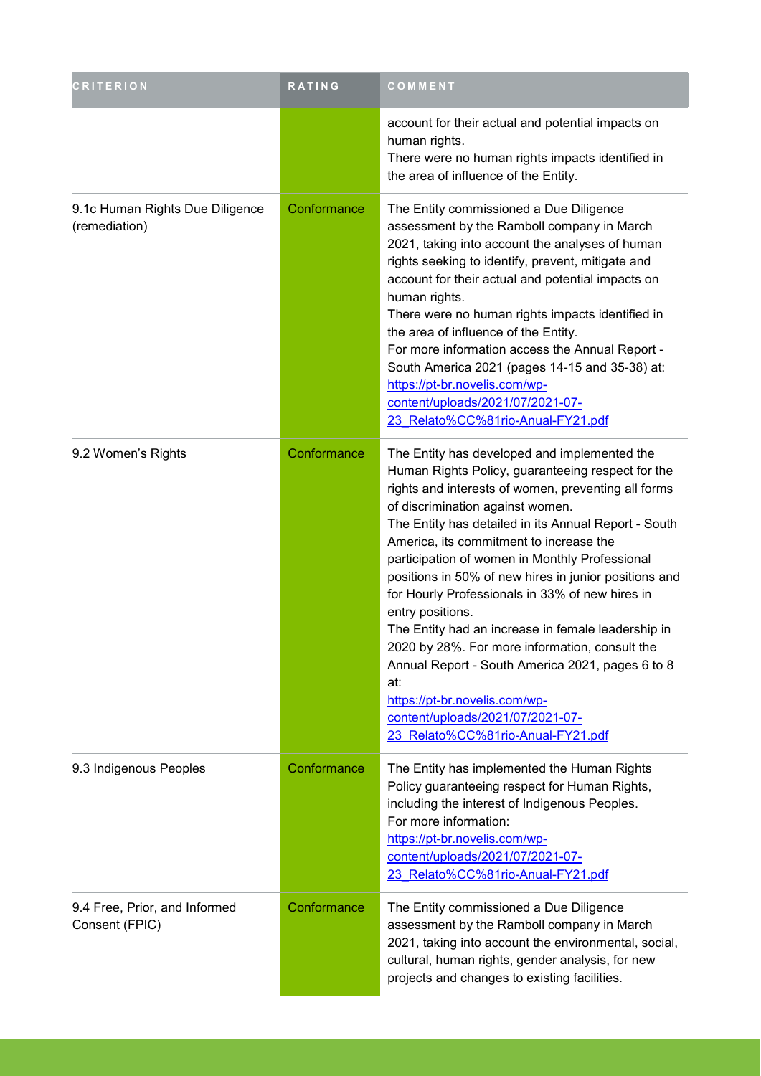| <b>CRITERION</b>                                 | <b>RATING</b> | COMMENT                                                                                                                                                                                                                                                                                                                                                                                                                                                                                                                                                                                                                                                                                                                                                        |
|--------------------------------------------------|---------------|----------------------------------------------------------------------------------------------------------------------------------------------------------------------------------------------------------------------------------------------------------------------------------------------------------------------------------------------------------------------------------------------------------------------------------------------------------------------------------------------------------------------------------------------------------------------------------------------------------------------------------------------------------------------------------------------------------------------------------------------------------------|
|                                                  |               | account for their actual and potential impacts on<br>human rights.<br>There were no human rights impacts identified in<br>the area of influence of the Entity.                                                                                                                                                                                                                                                                                                                                                                                                                                                                                                                                                                                                 |
| 9.1c Human Rights Due Diligence<br>(remediation) | Conformance   | The Entity commissioned a Due Diligence<br>assessment by the Ramboll company in March<br>2021, taking into account the analyses of human<br>rights seeking to identify, prevent, mitigate and<br>account for their actual and potential impacts on<br>human rights.<br>There were no human rights impacts identified in<br>the area of influence of the Entity.<br>For more information access the Annual Report -<br>South America 2021 (pages 14-15 and 35-38) at:<br>https://pt-br.novelis.com/wp-<br>content/uploads/2021/07/2021-07-<br>23 Relato%CC%81rio-Anual-FY21.pdf                                                                                                                                                                                 |
| 9.2 Women's Rights                               | Conformance   | The Entity has developed and implemented the<br>Human Rights Policy, guaranteeing respect for the<br>rights and interests of women, preventing all forms<br>of discrimination against women.<br>The Entity has detailed in its Annual Report - South<br>America, its commitment to increase the<br>participation of women in Monthly Professional<br>positions in 50% of new hires in junior positions and<br>for Hourly Professionals in 33% of new hires in<br>entry positions.<br>The Entity had an increase in female leadership in<br>2020 by 28%. For more information, consult the<br>Annual Report - South America 2021, pages 6 to 8<br>at:<br>https://pt-br.novelis.com/wp-<br>content/uploads/2021/07/2021-07-<br>23 Relato%CC%81rio-Anual-FY21.pdf |
| 9.3 Indigenous Peoples                           | Conformance   | The Entity has implemented the Human Rights<br>Policy guaranteeing respect for Human Rights,<br>including the interest of Indigenous Peoples.<br>For more information:<br>https://pt-br.novelis.com/wp-<br>content/uploads/2021/07/2021-07-<br>23 Relato%CC%81rio-Anual-FY21.pdf                                                                                                                                                                                                                                                                                                                                                                                                                                                                               |
| 9.4 Free, Prior, and Informed<br>Consent (FPIC)  | Conformance   | The Entity commissioned a Due Diligence<br>assessment by the Ramboll company in March<br>2021, taking into account the environmental, social,<br>cultural, human rights, gender analysis, for new<br>projects and changes to existing facilities.                                                                                                                                                                                                                                                                                                                                                                                                                                                                                                              |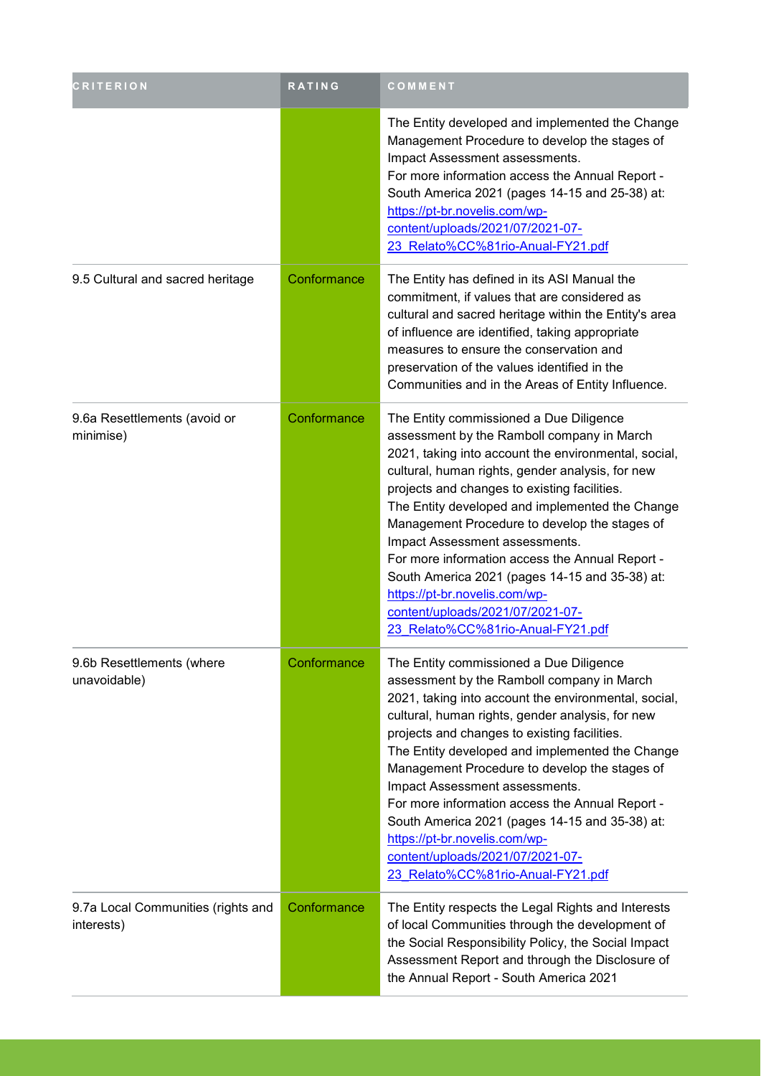| <b>CRITERION</b>                                 | <b>RATING</b> | COMMENT                                                                                                                                                                                                                                                                                                                                                                                                                                                                                                                                                                                                |
|--------------------------------------------------|---------------|--------------------------------------------------------------------------------------------------------------------------------------------------------------------------------------------------------------------------------------------------------------------------------------------------------------------------------------------------------------------------------------------------------------------------------------------------------------------------------------------------------------------------------------------------------------------------------------------------------|
|                                                  |               | The Entity developed and implemented the Change<br>Management Procedure to develop the stages of<br>Impact Assessment assessments.<br>For more information access the Annual Report -<br>South America 2021 (pages 14-15 and 25-38) at:<br>https://pt-br.novelis.com/wp-<br>content/uploads/2021/07/2021-07-<br>23 Relato%CC%81rio-Anual-FY21.pdf                                                                                                                                                                                                                                                      |
| 9.5 Cultural and sacred heritage                 | Conformance   | The Entity has defined in its ASI Manual the<br>commitment, if values that are considered as<br>cultural and sacred heritage within the Entity's area<br>of influence are identified, taking appropriate<br>measures to ensure the conservation and<br>preservation of the values identified in the<br>Communities and in the Areas of Entity Influence.                                                                                                                                                                                                                                               |
| 9.6a Resettlements (avoid or<br>minimise)        | Conformance   | The Entity commissioned a Due Diligence<br>assessment by the Ramboll company in March<br>2021, taking into account the environmental, social,<br>cultural, human rights, gender analysis, for new<br>projects and changes to existing facilities.<br>The Entity developed and implemented the Change<br>Management Procedure to develop the stages of<br>Impact Assessment assessments.<br>For more information access the Annual Report -<br>South America 2021 (pages 14-15 and 35-38) at:<br>https://pt-br.novelis.com/wp-<br>content/uploads/2021/07/2021-07-<br>23 Relato%CC%81rio-Anual-FY21.pdf |
| 9.6b Resettlements (where<br>unavoidable)        | Conformance   | The Entity commissioned a Due Diligence<br>assessment by the Ramboll company in March<br>2021, taking into account the environmental, social,<br>cultural, human rights, gender analysis, for new<br>projects and changes to existing facilities.<br>The Entity developed and implemented the Change<br>Management Procedure to develop the stages of<br>Impact Assessment assessments.<br>For more information access the Annual Report -<br>South America 2021 (pages 14-15 and 35-38) at:<br>https://pt-br.novelis.com/wp-<br>content/uploads/2021/07/2021-07-<br>23 Relato%CC%81rio-Anual-FY21.pdf |
| 9.7a Local Communities (rights and<br>interests) | Conformance   | The Entity respects the Legal Rights and Interests<br>of local Communities through the development of<br>the Social Responsibility Policy, the Social Impact<br>Assessment Report and through the Disclosure of<br>the Annual Report - South America 2021                                                                                                                                                                                                                                                                                                                                              |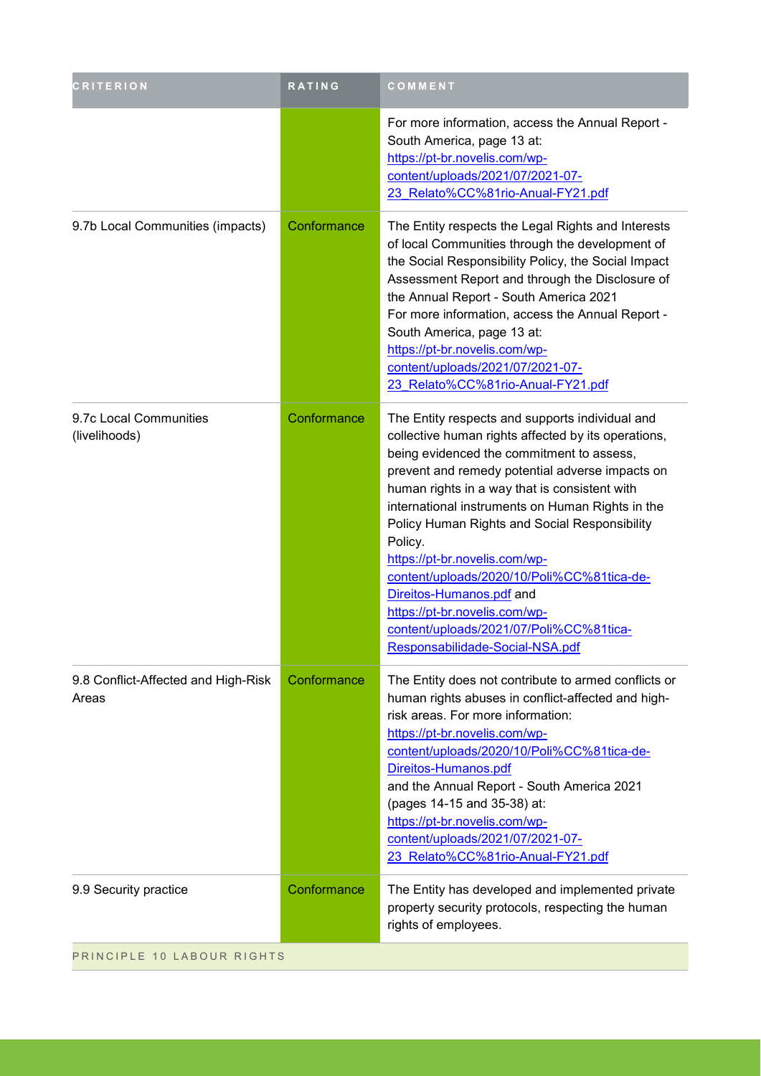| <b>CRITERION</b>                             | RATING      | COMMENT                                                                                                                                                                                                                                                                                                                                                                                                                                                                                                                                                                                           |
|----------------------------------------------|-------------|---------------------------------------------------------------------------------------------------------------------------------------------------------------------------------------------------------------------------------------------------------------------------------------------------------------------------------------------------------------------------------------------------------------------------------------------------------------------------------------------------------------------------------------------------------------------------------------------------|
|                                              |             | For more information, access the Annual Report -<br>South America, page 13 at:<br>https://pt-br.novelis.com/wp-<br>content/uploads/2021/07/2021-07-<br>23 Relato%CC%81rio-Anual-FY21.pdf                                                                                                                                                                                                                                                                                                                                                                                                          |
| 9.7b Local Communities (impacts)             | Conformance | The Entity respects the Legal Rights and Interests<br>of local Communities through the development of<br>the Social Responsibility Policy, the Social Impact<br>Assessment Report and through the Disclosure of<br>the Annual Report - South America 2021<br>For more information, access the Annual Report -<br>South America, page 13 at:<br>https://pt-br.novelis.com/wp-<br>content/uploads/2021/07/2021-07-<br>23 Relato%CC%81rio-Anual-FY21.pdf                                                                                                                                             |
| 9.7c Local Communities<br>(livelihoods)      | Conformance | The Entity respects and supports individual and<br>collective human rights affected by its operations,<br>being evidenced the commitment to assess,<br>prevent and remedy potential adverse impacts on<br>human rights in a way that is consistent with<br>international instruments on Human Rights in the<br>Policy Human Rights and Social Responsibility<br>Policy.<br>https://pt-br.novelis.com/wp-<br>content/uploads/2020/10/Poli%CC%81tica-de-<br>Direitos-Humanos.pdf and<br>https://pt-br.novelis.com/wp-<br>content/uploads/2021/07/Poli%CC%81tica-<br>Responsabilidade-Social-NSA.pdf |
| 9.8 Conflict-Affected and High-Risk<br>Areas | Conformance | The Entity does not contribute to armed conflicts or<br>human rights abuses in conflict-affected and high-<br>risk areas. For more information:<br>https://pt-br.novelis.com/wp-<br>content/uploads/2020/10/Poli%CC%81tica-de-<br>Direitos-Humanos.pdf<br>and the Annual Report - South America 2021<br>(pages 14-15 and 35-38) at:<br>https://pt-br.novelis.com/wp-<br>content/uploads/2021/07/2021-07-<br>23 Relato%CC%81rio-Anual-FY21.pdf                                                                                                                                                     |
| 9.9 Security practice                        | Conformance | The Entity has developed and implemented private<br>property security protocols, respecting the human<br>rights of employees.                                                                                                                                                                                                                                                                                                                                                                                                                                                                     |
| PRINCIPLE 10 LABOUR RIGHTS                   |             |                                                                                                                                                                                                                                                                                                                                                                                                                                                                                                                                                                                                   |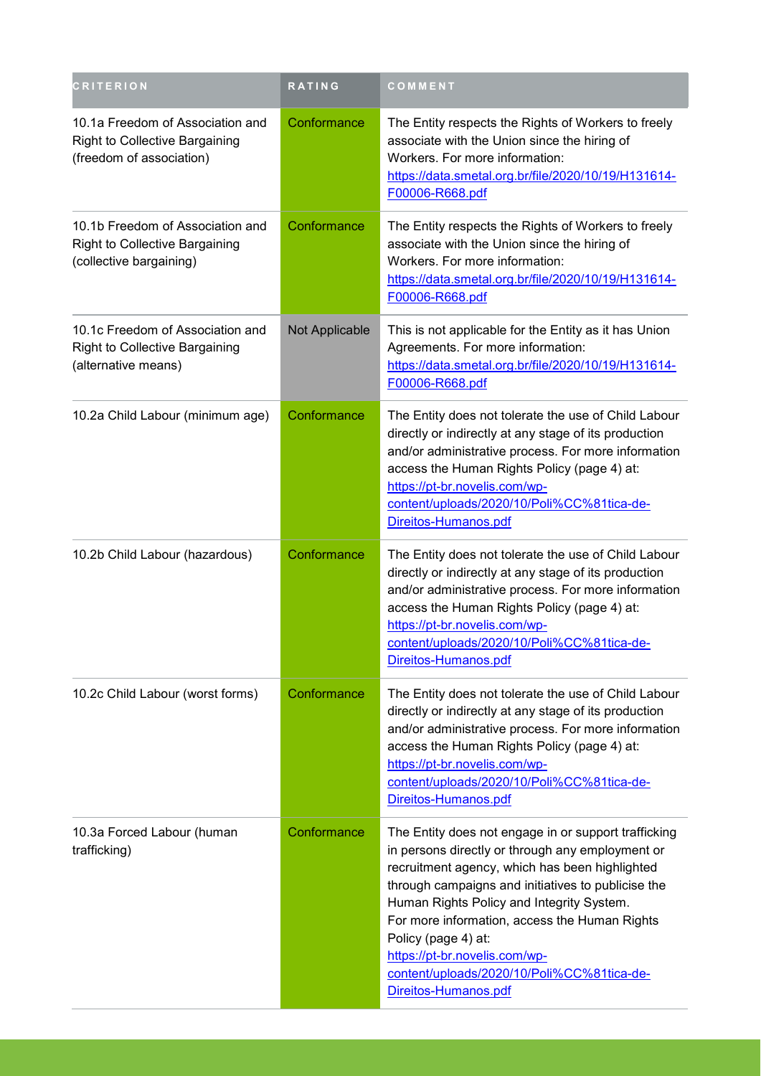| <b>CRITERION</b>                                                                                      | <b>RATING</b>  | COMMENT                                                                                                                                                                                                                                                                                                                                                                                                                                      |
|-------------------------------------------------------------------------------------------------------|----------------|----------------------------------------------------------------------------------------------------------------------------------------------------------------------------------------------------------------------------------------------------------------------------------------------------------------------------------------------------------------------------------------------------------------------------------------------|
| 10.1a Freedom of Association and<br><b>Right to Collective Bargaining</b><br>(freedom of association) | Conformance    | The Entity respects the Rights of Workers to freely<br>associate with the Union since the hiring of<br>Workers. For more information:<br>https://data.smetal.org.br/file/2020/10/19/H131614-<br>F00006-R668.pdf                                                                                                                                                                                                                              |
| 10.1b Freedom of Association and<br>Right to Collective Bargaining<br>(collective bargaining)         | Conformance    | The Entity respects the Rights of Workers to freely<br>associate with the Union since the hiring of<br>Workers. For more information:<br>https://data.smetal.org.br/file/2020/10/19/H131614-<br>F00006-R668.pdf                                                                                                                                                                                                                              |
| 10.1c Freedom of Association and<br><b>Right to Collective Bargaining</b><br>(alternative means)      | Not Applicable | This is not applicable for the Entity as it has Union<br>Agreements. For more information:<br>https://data.smetal.org.br/file/2020/10/19/H131614-<br>F00006-R668.pdf                                                                                                                                                                                                                                                                         |
| 10.2a Child Labour (minimum age)                                                                      | Conformance    | The Entity does not tolerate the use of Child Labour<br>directly or indirectly at any stage of its production<br>and/or administrative process. For more information<br>access the Human Rights Policy (page 4) at:<br>https://pt-br.novelis.com/wp-<br>content/uploads/2020/10/Poli%CC%81tica-de-<br>Direitos-Humanos.pdf                                                                                                                   |
| 10.2b Child Labour (hazardous)                                                                        | Conformance    | The Entity does not tolerate the use of Child Labour<br>directly or indirectly at any stage of its production<br>and/or administrative process. For more information<br>access the Human Rights Policy (page 4) at:<br>https://pt-br.novelis.com/wp-<br>content/uploads/2020/10/Poli%CC%81tica-de-<br>Direitos-Humanos.pdf                                                                                                                   |
| 10.2c Child Labour (worst forms)                                                                      | Conformance    | The Entity does not tolerate the use of Child Labour<br>directly or indirectly at any stage of its production<br>and/or administrative process. For more information<br>access the Human Rights Policy (page 4) at:<br>https://pt-br.novelis.com/wp-<br>content/uploads/2020/10/Poli%CC%81tica-de-<br>Direitos-Humanos.pdf                                                                                                                   |
| 10.3a Forced Labour (human<br>trafficking)                                                            | Conformance    | The Entity does not engage in or support trafficking<br>in persons directly or through any employment or<br>recruitment agency, which has been highlighted<br>through campaigns and initiatives to publicise the<br>Human Rights Policy and Integrity System.<br>For more information, access the Human Rights<br>Policy (page 4) at:<br>https://pt-br.novelis.com/wp-<br>content/uploads/2020/10/Poli%CC%81tica-de-<br>Direitos-Humanos.pdf |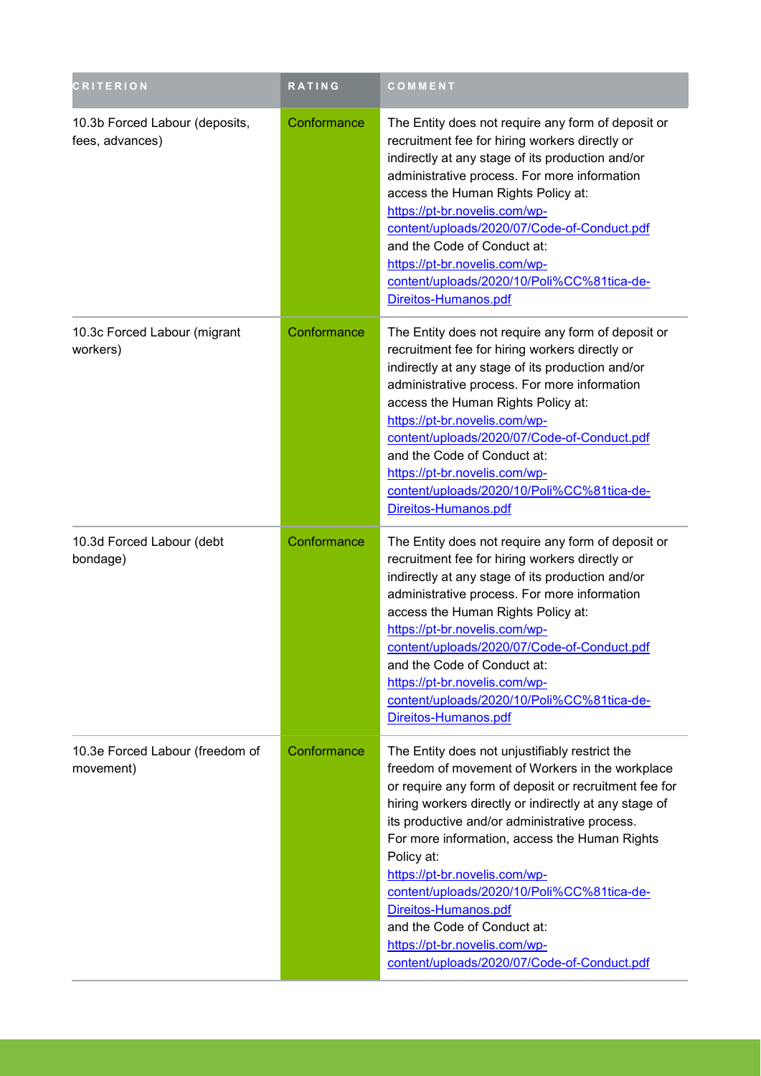| <b>CRITERION</b>                                  | RATING      | COMMENT                                                                                                                                                                                                                                                                                                                                                                                                                                                                                                                                                   |
|---------------------------------------------------|-------------|-----------------------------------------------------------------------------------------------------------------------------------------------------------------------------------------------------------------------------------------------------------------------------------------------------------------------------------------------------------------------------------------------------------------------------------------------------------------------------------------------------------------------------------------------------------|
| 10.3b Forced Labour (deposits,<br>fees, advances) | Conformance | The Entity does not require any form of deposit or<br>recruitment fee for hiring workers directly or<br>indirectly at any stage of its production and/or<br>administrative process. For more information<br>access the Human Rights Policy at:<br>https://pt-br.novelis.com/wp-<br>content/uploads/2020/07/Code-of-Conduct.pdf<br>and the Code of Conduct at:<br>https://pt-br.novelis.com/wp-<br>content/uploads/2020/10/Poli%CC%81tica-de-<br>Direitos-Humanos.pdf                                                                                      |
| 10.3c Forced Labour (migrant<br>workers)          | Conformance | The Entity does not require any form of deposit or<br>recruitment fee for hiring workers directly or<br>indirectly at any stage of its production and/or<br>administrative process. For more information<br>access the Human Rights Policy at:<br>https://pt-br.novelis.com/wp-<br>content/uploads/2020/07/Code-of-Conduct.pdf<br>and the Code of Conduct at:<br>https://pt-br.novelis.com/wp-<br>content/uploads/2020/10/Poli%CC%81tica-de-<br>Direitos-Humanos.pdf                                                                                      |
| 10.3d Forced Labour (debt<br>bondage)             | Conformance | The Entity does not require any form of deposit or<br>recruitment fee for hiring workers directly or<br>indirectly at any stage of its production and/or<br>administrative process. For more information<br>access the Human Rights Policy at:<br>https://pt-br.novelis.com/wp-<br>content/uploads/2020/07/Code-of-Conduct.pdf<br>and the Code of Conduct at:<br>https://pt-br.novelis.com/wp-<br>content/uploads/2020/10/Poli%CC%81tica-de-<br>Direitos-Humanos.pdf                                                                                      |
| 10.3e Forced Labour (freedom of<br>movement)      | Conformance | The Entity does not unjustifiably restrict the<br>freedom of movement of Workers in the workplace<br>or require any form of deposit or recruitment fee for<br>hiring workers directly or indirectly at any stage of<br>its productive and/or administrative process.<br>For more information, access the Human Rights<br>Policy at:<br>https://pt-br.novelis.com/wp-<br>content/uploads/2020/10/Poli%CC%81tica-de-<br>Direitos-Humanos.pdf<br>and the Code of Conduct at:<br>https://pt-br.novelis.com/wp-<br>content/uploads/2020/07/Code-of-Conduct.pdf |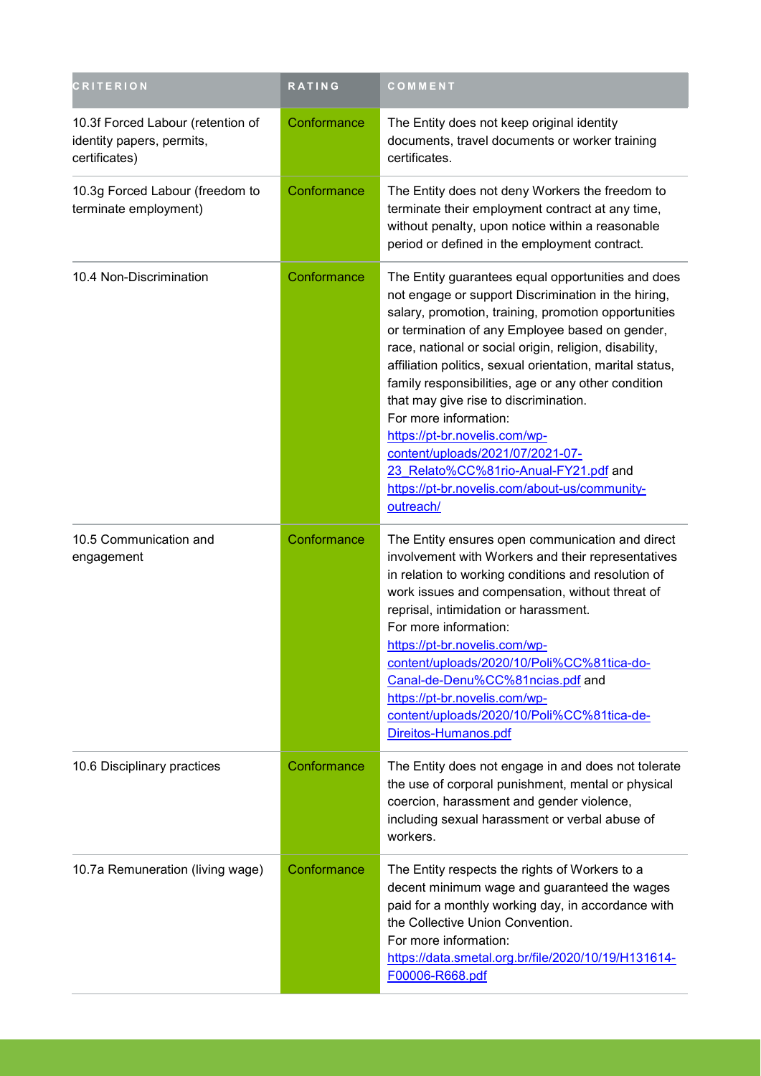| <b>CRITERION</b>                                                                | RATING      | COMMENT                                                                                                                                                                                                                                                                                                                                                                                                                                                                                                                                                                                                                                          |
|---------------------------------------------------------------------------------|-------------|--------------------------------------------------------------------------------------------------------------------------------------------------------------------------------------------------------------------------------------------------------------------------------------------------------------------------------------------------------------------------------------------------------------------------------------------------------------------------------------------------------------------------------------------------------------------------------------------------------------------------------------------------|
| 10.3f Forced Labour (retention of<br>identity papers, permits,<br>certificates) | Conformance | The Entity does not keep original identity<br>documents, travel documents or worker training<br>certificates.                                                                                                                                                                                                                                                                                                                                                                                                                                                                                                                                    |
| 10.3g Forced Labour (freedom to<br>terminate employment)                        | Conformance | The Entity does not deny Workers the freedom to<br>terminate their employment contract at any time,<br>without penalty, upon notice within a reasonable<br>period or defined in the employment contract.                                                                                                                                                                                                                                                                                                                                                                                                                                         |
| 10.4 Non-Discrimination                                                         | Conformance | The Entity guarantees equal opportunities and does<br>not engage or support Discrimination in the hiring,<br>salary, promotion, training, promotion opportunities<br>or termination of any Employee based on gender,<br>race, national or social origin, religion, disability,<br>affiliation politics, sexual orientation, marital status,<br>family responsibilities, age or any other condition<br>that may give rise to discrimination.<br>For more information:<br>https://pt-br.novelis.com/wp-<br>content/uploads/2021/07/2021-07-<br>23 Relato%CC%81rio-Anual-FY21.pdf and<br>https://pt-br.novelis.com/about-us/community-<br>outreach/ |
| 10.5 Communication and<br>engagement                                            | Conformance | The Entity ensures open communication and direct<br>involvement with Workers and their representatives<br>in relation to working conditions and resolution of<br>work issues and compensation, without threat of<br>reprisal, intimidation or harassment.<br>For more information:<br>https://pt-br.novelis.com/wp-<br>content/uploads/2020/10/Poli%CC%81tica-do-<br>Canal-de-Denu%CC%81ncias.pdf and<br>https://pt-br.novelis.com/wp-<br>content/uploads/2020/10/Poli%CC%81tica-de-<br>Direitos-Humanos.pdf                                                                                                                                     |
| 10.6 Disciplinary practices                                                     | Conformance | The Entity does not engage in and does not tolerate<br>the use of corporal punishment, mental or physical<br>coercion, harassment and gender violence,<br>including sexual harassment or verbal abuse of<br>workers.                                                                                                                                                                                                                                                                                                                                                                                                                             |
| 10.7a Remuneration (living wage)                                                | Conformance | The Entity respects the rights of Workers to a<br>decent minimum wage and guaranteed the wages<br>paid for a monthly working day, in accordance with<br>the Collective Union Convention.<br>For more information:<br>https://data.smetal.org.br/file/2020/10/19/H131614-<br>F00006-R668.pdf                                                                                                                                                                                                                                                                                                                                                      |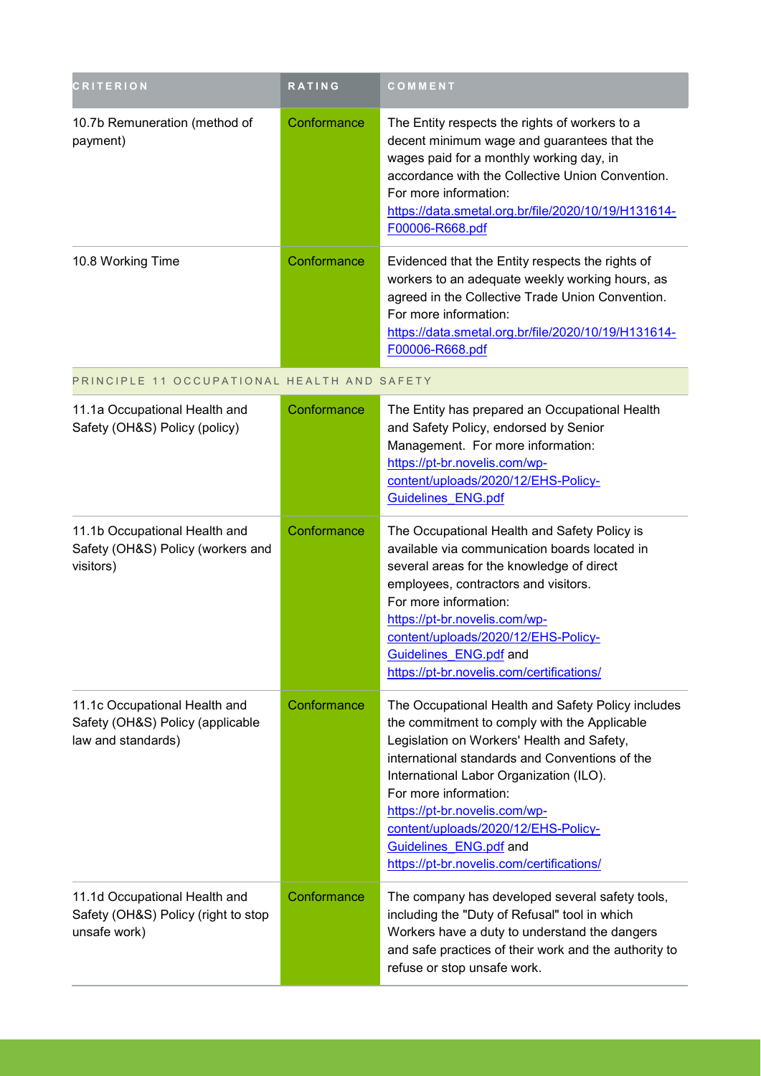| <b>CRITERION</b>                                                                        | RATING      | COMMENT                                                                                                                                                                                                                                                                                                                                                                                                               |
|-----------------------------------------------------------------------------------------|-------------|-----------------------------------------------------------------------------------------------------------------------------------------------------------------------------------------------------------------------------------------------------------------------------------------------------------------------------------------------------------------------------------------------------------------------|
| 10.7b Remuneration (method of<br>payment)                                               | Conformance | The Entity respects the rights of workers to a<br>decent minimum wage and guarantees that the<br>wages paid for a monthly working day, in<br>accordance with the Collective Union Convention.<br>For more information:<br>https://data.smetal.org.br/file/2020/10/19/H131614-<br>F00006-R668.pdf                                                                                                                      |
| 10.8 Working Time                                                                       | Conformance | Evidenced that the Entity respects the rights of<br>workers to an adequate weekly working hours, as<br>agreed in the Collective Trade Union Convention.<br>For more information:<br>https://data.smetal.org.br/file/2020/10/19/H131614-<br>F00006-R668.pdf                                                                                                                                                            |
| PRINCIPLE 11 OCCUPATIONAL HEALTH AND SAFETY                                             |             |                                                                                                                                                                                                                                                                                                                                                                                                                       |
| 11.1a Occupational Health and<br>Safety (OH&S) Policy (policy)                          | Conformance | The Entity has prepared an Occupational Health<br>and Safety Policy, endorsed by Senior<br>Management. For more information:<br>https://pt-br.novelis.com/wp-<br>content/uploads/2020/12/EHS-Policy-<br><b>Guidelines ENG.pdf</b>                                                                                                                                                                                     |
| 11.1b Occupational Health and<br>Safety (OH&S) Policy (workers and<br>visitors)         | Conformance | The Occupational Health and Safety Policy is<br>available via communication boards located in<br>several areas for the knowledge of direct<br>employees, contractors and visitors.<br>For more information:<br>https://pt-br.novelis.com/wp-<br>content/uploads/2020/12/EHS-Policy-<br>Guidelines ENG.pdf and<br>https://pt-br.novelis.com/certifications/                                                            |
| 11.1c Occupational Health and<br>Safety (OH&S) Policy (applicable<br>law and standards) | Conformance | The Occupational Health and Safety Policy includes<br>the commitment to comply with the Applicable<br>Legislation on Workers' Health and Safety,<br>international standards and Conventions of the<br>International Labor Organization (ILO).<br>For more information:<br>https://pt-br.novelis.com/wp-<br>content/uploads/2020/12/EHS-Policy-<br>Guidelines ENG.pdf and<br>https://pt-br.novelis.com/certifications/ |
| 11.1d Occupational Health and<br>Safety (OH&S) Policy (right to stop<br>unsafe work)    | Conformance | The company has developed several safety tools,<br>including the "Duty of Refusal" tool in which<br>Workers have a duty to understand the dangers<br>and safe practices of their work and the authority to<br>refuse or stop unsafe work.                                                                                                                                                                             |